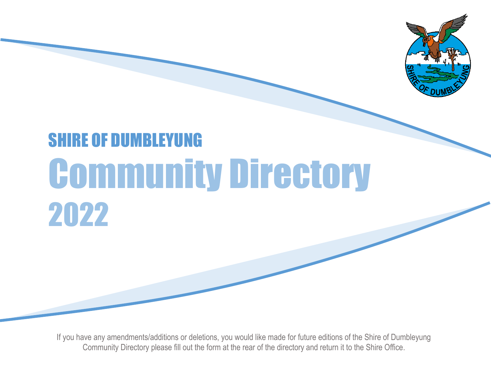

# SHIRE OF DUMBLEYUNG Community Directory 2022

If you have any amendments/additions or deletions, you would like made for future editions of the Shire of Dumbleyung Community Directory please fill out the form at the rear of the directory and return it to the Shire Office.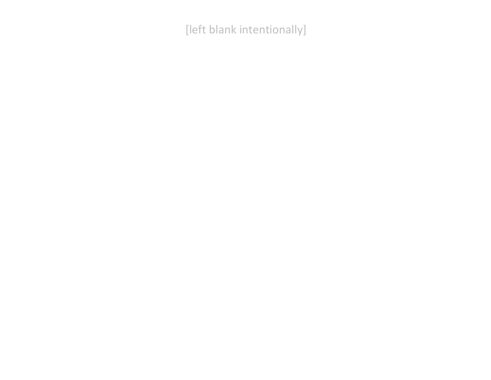[left blank intentionally]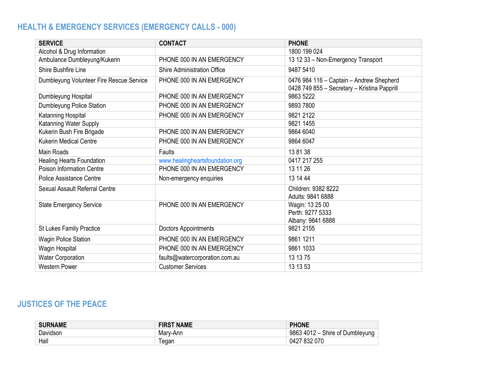# **HEALTH & EMERGENCY SERVICES (EMERGENCY CALLS - 000)**

| <b>SERVICE</b>                           | <b>CONTACT</b>                     | <b>PHONE</b>                                                                             |
|------------------------------------------|------------------------------------|------------------------------------------------------------------------------------------|
| Alcohol & Drug Information               |                                    | 1800 199 024                                                                             |
| Ambulance Dumbleyung/Kukerin             | PHONE 000 IN AN EMERGENCY          | 13 12 33 - Non-Emergency Transport                                                       |
| Shire Bushfire Line                      | <b>Shire Administration Office</b> | 9487 5410                                                                                |
| Dumbleyung Volunteer Fire Rescue Service | PHONE 000 IN AN EMERGENCY          | 0476 984 116 - Captain - Andrew Shepherd<br>0428 749 855 - Secretary - Kristina Papprill |
| Dumbleyung Hospital                      | PHONE 000 IN AN EMERGENCY          | 9863 5222                                                                                |
| Dumbleyung Police Station                | PHONE 000 IN AN EMERGENCY          | 9893 7800                                                                                |
| Katanning Hospital                       | PHONE 000 IN AN EMERGENCY          | 9821 2122                                                                                |
| Katanning Water Supply                   |                                    | 9821 1455                                                                                |
| Kukerin Bush Fire Brigade                | PHONE 000 IN AN EMERGENCY          | 9864 6040                                                                                |
| <b>Kukerin Medical Centre</b>            | PHONE 000 IN AN EMERGENCY          | 9864 6047                                                                                |
| Main Roads                               | Faults                             | 13 81 38                                                                                 |
| <b>Healing Hearts Foundation</b>         | www.healingheartsfoundation.org    | 0417 217 255                                                                             |
| <b>Poison Information Centre</b>         | PHONE 000 IN AN EMERGENCY          | 13 11 26                                                                                 |
| <b>Police Assistance Centre</b>          | Non-emergency enquiries            | 13 14 44                                                                                 |
| Sexual Assault Referral Centre           |                                    | Children: 9382 8222<br>Adults: 9841 6888                                                 |
| <b>State Emergency Service</b>           | PHONE 000 IN AN EMERGENCY          | Wagin: 13 25 00<br>Perth: 9277 5333<br>Albany: 9841 6888                                 |
| <b>St Lukes Family Practice</b>          | Doctors Appointments               | 9821 2155                                                                                |
| <b>Wagin Police Station</b>              | PHONE 000 IN AN EMERGENCY          | 9861 1211                                                                                |
| Wagin Hospital                           | PHONE 000 IN AN EMERGENCY          | 9861 1033                                                                                |
| <b>Water Corporation</b>                 | faults@watercorporation.com.au     | 13 13 75                                                                                 |
| <b>Western Power</b>                     | <b>Customer Services</b>           | 13 13 53                                                                                 |

#### **JUSTICES OF THE PEACE**

| <b>SURNAME</b> | <b>FIRST NAME</b> | <b>PHONE</b>                                  |
|----------------|-------------------|-----------------------------------------------|
| Davidson       | Marv-Ann          | $\frac{1}{2}$ 9863 4012 – Shire of Dumbleyung |
| Hall           | l egan            | 0427 832 070                                  |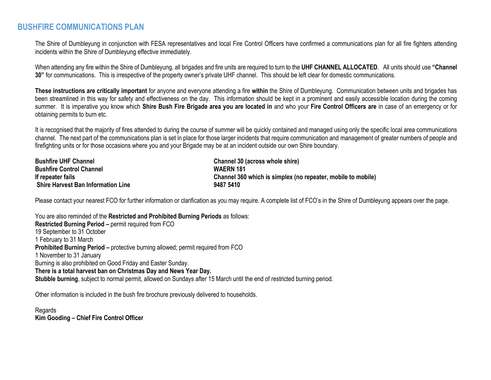#### **BUSHFIRE COMMUNICATIONS PLAN**

The Shire of Dumbleyung in conjunction with FESA representatives and local Fire Control Officers have confirmed a communications plan for all fire fighters attending incidents within the Shire of Dumbleyung effective immediately.

When attending any fire within the Shire of Dumbleyung, all brigades and fire units are required to turn to the **UHF CHANNEL ALLOCATED**. All units should use **"Channel 30"** for communications. This is irrespective of the property owner's private UHF channel. This should be left clear for domestic communications.

**These instructions are critically important** for anyone and everyone attending a fire **within** the Shire of Dumbleyung. Communication between units and brigades has been streamlined in this way for safety and effectiveness on the day. This information should be kept in a prominent and easily accessible location during the coming summer. It is imperative you know which **Shire Bush Fire Brigade area you are located in** and who your **Fire Control Officers are** in case of an emergency or for obtaining permits to burn etc.

It is recognised that the majority of fires attended to during the course of summer will be quickly contained and managed using only the specific local area communications channel. The next part of the communications plan is set in place for those larger incidents that require communication and management of greater numbers of people and firefighting units or for those occasions where you and your Brigade may be at an incident outside our own Shire boundary.

| <b>Bushfire UHF Channel</b>               | Channel 30 (across whole shire)                              |
|-------------------------------------------|--------------------------------------------------------------|
| <b>Bushfire Control Channel</b>           | <b>WAERN 181</b>                                             |
| If repeater fails                         | Channel 360 which is simplex (no repeater, mobile to mobile) |
| <b>Shire Harvest Ban Information Line</b> | 9487 5410                                                    |

Please contact your nearest FCO for further information or clarification as you may require. A complete list of FCO's in the Shire of Dumbleyung appears over the page.

You are also reminded of the **Restricted and Prohibited Burning Periods** as follows: **Restricted Burning Period –** permit required from FCO 19 September to 31 October 1 February to 31 March **Prohibited Burning Period –** protective burning allowed; permit required from FCO 1 November to 31 January Burning is also prohibited on Good Friday and Easter Sunday. **There is a total harvest ban on Christmas Day and News Year Day. Stubble burning**, subject to normal permit, allowed on Sundays after 15 March until the end of restricted burning period.

Other information is included in the bush fire brochure previously delivered to households.

Regards **Kim Gooding – Chief Fire Control Officer**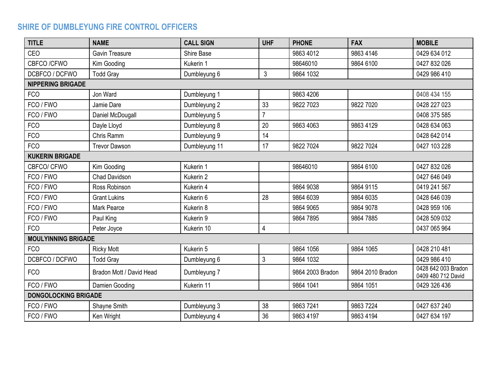### **SHIRE OF DUMBLEYUNG FIRE CONTROL OFFICERS**

| <b>TITLE</b>                | <b>NAME</b>              | <b>CALL SIGN</b> | <b>UHF</b>     | <b>PHONE</b>     | <b>FAX</b>       | <b>MOBILE</b>                             |
|-----------------------------|--------------------------|------------------|----------------|------------------|------------------|-------------------------------------------|
| <b>CEO</b>                  | <b>Gavin Treasure</b>    | Shire Base       |                | 9863 4012        | 9863 4146        | 0429 634 012                              |
| CBFCO /CFWO                 | Kim Gooding              | Kukerin 1        |                | 98646010         | 9864 6100        | 0427 832 026                              |
| DCBFCO / DCFWO              | <b>Todd Gray</b>         | Dumbleyung 6     | 3              | 9864 1032        |                  | 0429 986 410                              |
| <b>NIPPERING BRIGADE</b>    |                          |                  |                |                  |                  |                                           |
| <b>FCO</b>                  | Jon Ward                 | Dumbleyung 1     |                | 9863 4206        |                  | 0408 434 155                              |
| FCO / FWO                   | Jamie Dare               | Dumbleyung 2     | 33             | 9822 7023        | 9822 7020        | 0428 227 023                              |
| FCO / FWO                   | Daniel McDougall         | Dumbleyung 5     | $\overline{7}$ |                  |                  | 0408 375 585                              |
| <b>FCO</b>                  | Dayle Lloyd              | Dumbleyung 8     | 20             | 9863 4063        | 9863 4129        | 0428 634 063                              |
| <b>FCO</b>                  | Chris Ramm               | Dumbleyung 9     | 14             |                  |                  | 0428 642 014                              |
| <b>FCO</b>                  | <b>Trevor Dawson</b>     | Dumbleyung 11    | 17             | 9822 7024        | 9822 7024        | 0427 103 228                              |
| <b>KUKERIN BRIGADE</b>      |                          |                  |                |                  |                  |                                           |
| CBFCO/ CFWO                 | Kim Gooding              | Kukerin 1        |                | 98646010         | 9864 6100        | 0427 832 026                              |
| FCO / FWO                   | <b>Chad Davidson</b>     | Kukerin 2        |                |                  |                  | 0427 646 049                              |
| FCO / FWO                   | Ross Robinson            | Kukerin 4        |                | 9864 9038        | 9864 9115        | 0419 241 567                              |
| FCO / FWO                   | <b>Grant Lukins</b>      | Kukerin 6        | 28             | 9864 6039        | 9864 6035        | 0428 646 039                              |
| FCO / FWO                   | <b>Mark Pearce</b>       | Kukerin 8        |                | 9864 9065        | 9864 9078        | 0428 959 106                              |
| FCO / FWO                   | Paul King                | Kukerin 9        |                | 9864 7895        | 9864 7885        | 0428 509 032                              |
| <b>FCO</b>                  | Peter Joyce              | Kukerin 10       | 4              |                  |                  | 0437 065 964                              |
| <b>MOULYINNING BRIGADE</b>  |                          |                  |                |                  |                  |                                           |
| <b>FCO</b>                  | <b>Ricky Mott</b>        | Kukerin 5        |                | 9864 1056        | 9864 1065        | 0428 210 481                              |
| DCBFCO / DCFWO              | <b>Todd Gray</b>         | Dumbleyung 6     | $\mathfrak{Z}$ | 9864 1032        |                  | 0429 986 410                              |
| <b>FCO</b>                  | Bradon Mott / David Head | Dumbleyung 7     |                | 9864 2003 Bradon | 9864 2010 Bradon | 0428 642 003 Bradon<br>0409 480 712 David |
| FCO / FWO                   | Damien Gooding           | Kukerin 11       |                | 9864 1041        | 9864 1051        | 0429 326 436                              |
| <b>DONGOLOCKING BRIGADE</b> |                          |                  |                |                  |                  |                                           |
| FCO / FWO                   | Shayne Smith             | Dumbleyung 3     | 38             | 98637241         | 9863 7224        | 0427 637 240                              |
| FCO / FWO                   | Ken Wright               | Dumbleyung 4     | 36             | 9863 4197        | 9863 4194        | 0427 634 197                              |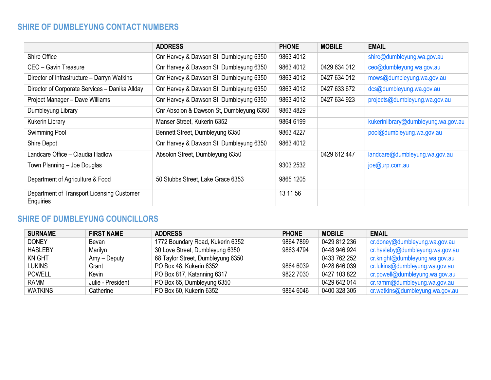# **SHIRE OF DUMBLEYUNG CONTACT NUMBERS**

|                                                         | <b>ADDRESS</b>                           | <b>PHONE</b> | <b>MOBILE</b> | <b>EMAIL</b>                        |
|---------------------------------------------------------|------------------------------------------|--------------|---------------|-------------------------------------|
| Shire Office                                            | Cnr Harvey & Dawson St, Dumbleyung 6350  | 9863 4012    |               | shire@dumbleyung.wa.gov.au          |
| CEO - Gavin Treasure                                    | Cnr Harvey & Dawson St, Dumbleyung 6350  | 9863 4012    | 0429 634 012  | ceo@dumbleyung.wa.gov.au            |
| Director of Infrastructure - Darryn Watkins             | Cnr Harvey & Dawson St, Dumbleyung 6350  | 9863 4012    | 0427 634 012  | mows@dumbleyung.wa.gov.au           |
| Director of Corporate Services - Danika Allday          | Cnr Harvey & Dawson St, Dumbleyung 6350  | 9863 4012    | 0427 633 672  | dcs@dumbleyung.wa.gov.au            |
| Project Manager - Dave Williams                         | Cnr Harvey & Dawson St, Dumbleyung 6350  | 9863 4012    | 0427 634 923  | projects@dumbleyung.wa.gov.au       |
| Dumbleyung Library                                      | Cnr Absolon & Dawson St, Dumbleyung 6350 | 9863 4829    |               |                                     |
| Kukerin Library                                         | Manser Street, Kukerin 6352              | 9864 6199    |               | kukerinlibrary@dumbleyung.wa.gov.au |
| Swimming Pool                                           | Bennett Street, Dumbleyung 6350          | 9863 4227    |               | pool@dumbleyung.wa.gov.au           |
| Shire Depot                                             | Cnr Harvey & Dawson St, Dumbleyung 6350  | 9863 4012    |               |                                     |
| Landcare Office - Claudia Hadlow                        | Absolon Street, Dumbleyung 6350          |              | 0429 612 447  | landcare@dumbleyung.wa.gov.au       |
| Town Planning - Joe Douglas                             |                                          | 9303 2532    |               | joe@urp.com.au                      |
| Department of Agriculture & Food                        | 50 Stubbs Street, Lake Grace 6353        | 9865 1205    |               |                                     |
| Department of Transport Licensing Customer<br>Enquiries |                                          | 13 11 56     |               |                                     |

#### **SHIRE OF DUMBLEYUNG COUNCILLORS**

| <b>SURNAME</b> | <b>FIRST NAME</b> | <b>ADDRESS</b>                    | <b>PHONE</b> | <b>MOBILE</b> | <b>EMAIL</b>                    |
|----------------|-------------------|-----------------------------------|--------------|---------------|---------------------------------|
| <b>DONEY</b>   | Bevan             | 1772 Boundary Road, Kukerin 6352  | 9864 7899    | 0429 812 236  | cr.doney@dumbleyung.wa.gov.au   |
| <b>HASLEBY</b> | Marilyn           | 30 Love Street, Dumbleyung 6350   | 9863 4794    | 0448 946 924  | cr.hasleby@dumbleyung.wa.gov.au |
| <b>KNIGHT</b>  | Amy – Deputy      | 68 Taylor Street, Dumbleyung 6350 |              | 0433 762 252  | cr.knight@dumbleyung.wa.gov.au  |
| LUKINS         | Grant             | PO Box 48, Kukerin 6352           | 9864 6039    | 0428 646 039  | cr.lukins@dumbleyung.wa.gov.au  |
| <b>POWELL</b>  | Kevin             | PO Box 817, Katanning 6317        | 9822 7030    | 0427 103 822  | cr.powell@dumbleyung.wa.gov.au  |
| <b>RAMM</b>    | Julie - President | PO Box 65, Dumbleyung 6350        |              | 0429 642 014  | cr.ramm@dumbleyung.wa.gov.au    |
| <b>WATKINS</b> | Catherine         | PO Box 60, Kukerin 6352           | 9864 6046    | 0400 328 305  | cr.watkins@dumbleyung.wa.gov.au |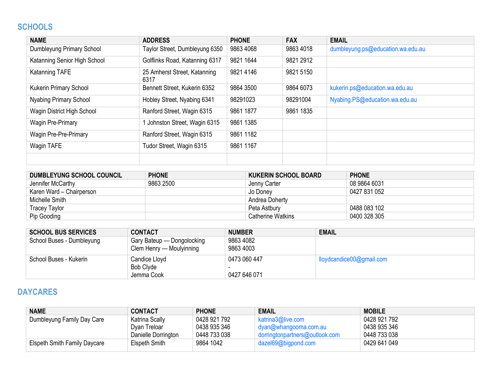# **SCHOOLS**

| <b>NAME</b>                   | <b>ADDRESS</b>                       | <b>PHONE</b> | <b>FAX</b> | <b>EMAIL</b>                      |
|-------------------------------|--------------------------------------|--------------|------------|-----------------------------------|
| Dumbleyung Primary School     | Taylor Street, Dumbleyung 6350       | 9863 4068    | 9863 4018  | dumbleyung.ps@education.wa.edu.au |
| Katanning Senior High School  | Golflinks Road, Katanning 6317       | 9821 1644    | 9821 2912  |                                   |
| Katanning TAFE                | 25 Amherst Street, Katanning<br>6317 | 9821 4146    | 9821 5150  |                                   |
| Kukerin Primary School        | Bennett Street, Kukerin 6352         | 9864 3500    | 9864 6073  | kukerin.ps@education.wa.edu.au    |
| <b>Nyabing Primary School</b> | Hobley Street, Nyabing 6341          | 98291023     | 98291004   | Nyabing.PS@education.wa.edu.au    |
| Wagin District High School    | Ranford Street, Wagin 6315           | 9861 1877    | 9861 1835  |                                   |
| <b>Wagin Pre-Primary</b>      | 1 Johnston Street, Wagin 6315        | 9861 1385    |            |                                   |
| <b>Wagin Pre-Pre-Primary</b>  | Ranford Street, Wagin 6315           | 9861 1182    |            |                                   |
| Wagin TAFE                    | Tudor Street, Wagin 6315             | 9861 1167    |            |                                   |
|                               |                                      |              |            |                                   |

| DUMBLEYUNG SCHOOL COUNCIL | <b>PHONE</b> | <b>KUKERIN SCHOOL BOARD</b> | <b>PHONE</b> |
|---------------------------|--------------|-----------------------------|--------------|
| Jennifer McCarthy         | 9863 2500    | Jenny Carter                | 08 9864 6031 |
| Karen Ward - Chairperson  |              | Jo Doney                    | 0427 831 052 |
| Michelle Smith            |              | Andrea Doherty              |              |
| Tracey Taylor             |              | Peta Astbury                | 0488 083 102 |
| Pip Gooding               |              | <b>Catherine Watkins</b>    | 0400 328 305 |

| <b>SCHOOL BUS SERVICES</b> | <b>CONTACT</b>             | <b>NUMBER</b> | <b>EMAIL</b>             |
|----------------------------|----------------------------|---------------|--------------------------|
| School Buses - Dumbleyung  | Gary Bateup — Dongolocking | 9863 4082     |                          |
|                            | Clem Henry — Moulyinning   | 9863 4003     |                          |
| School Buses - Kukerin     | Candice Lloyd              | 0473 060 447  | lloydcandice00@gmail.com |
|                            | Bob Clyde                  |               |                          |
|                            | Jemma Cook                 | 0427 646 071  |                          |

# **DAYCARES**

| <b>NAME</b>                         | <b>CONTACT</b>      | <b>PHONE</b> | <b>EMAIL</b>                   | <b>MOBILE</b> |
|-------------------------------------|---------------------|--------------|--------------------------------|---------------|
| Dumbleyung Family Day Care          | Katrina Scally      | 0428 921 792 | katrina3@live.com              | 0428 921 792  |
|                                     | Dyan Treloar        | 0438 935 346 | dyan@whangooma.com.au          | 0438 935 346  |
|                                     | Danielle Dorrington | 0448 733 038 | dorringtonpartners@outlook.com | 0448 733 038  |
| <b>Elspeth Smith Family Daycare</b> | Elspeth Smith       | 9864 1042    | dazel69@bigpond.com            | 0429 641 049  |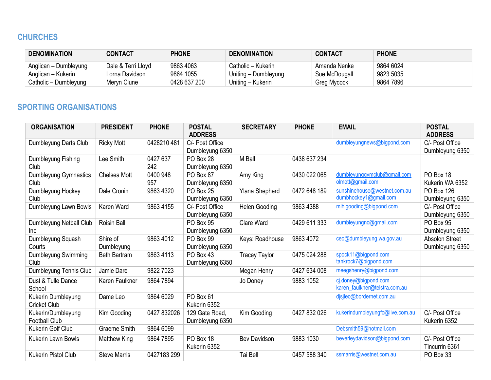#### **CHURCHES**

| <b>DENOMINATION</b>   | <b>CONTACT</b>     | <b>PHONE</b> | <b>DENOMINATION</b>  | <b>CONTACT</b> | <b>PHONE</b> |
|-----------------------|--------------------|--------------|----------------------|----------------|--------------|
| Anglican – Dumbleyung | Dale & Terri Lloyd | 9863 4063    | Catholic - Kukerin   | Amanda Nenke   | 9864 6024    |
| Anglican - Kukerin    | Lorna Davidson     | 9864 1055    | Uniting – Dumbleyung | Sue McDougall  | 9823 5035    |
| Catholic - Dumbleyung | Meryn Clune        | 0428 637 200 | Uniting – Kukerin    | Greg Mycock    | 9864 7896    |

#### **SPORTING ORGANISATIONS**

| <b>ORGANISATION</b>     | <b>PRESIDENT</b>    | <b>PHONE</b> | <b>POSTAL</b>   | <b>SECRETARY</b>     | <b>PHONE</b> | <b>EMAIL</b>                    | <b>POSTAL</b>         |
|-------------------------|---------------------|--------------|-----------------|----------------------|--------------|---------------------------------|-----------------------|
|                         |                     |              | <b>ADDRESS</b>  |                      |              |                                 | <b>ADDRESS</b>        |
| Dumbleyung Darts Club   | <b>Ricky Mott</b>   | 0428210481   | C/- Post Office |                      |              | dumbleyungnews@bigpond.com      | C/- Post Office       |
|                         |                     |              | Dumbleyung 6350 |                      |              |                                 | Dumbleyung 6350       |
| Dumbleyung Fishing      | Lee Smith           | 0427 637     | PO Box 28       | M Ball               | 0438 637 234 |                                 |                       |
| Club                    |                     | 242          | Dumbleyung 6350 |                      |              |                                 |                       |
| Dumbleyung Gymnastics   | Chelsea Mott        | 0400 948     | PO Box 87       | Amy King             | 0430 022 065 | dumbleyunggymclub@gmail.com     | PO Box 18             |
| Club                    |                     | 957          | Dumbleyung 6350 |                      |              | olmott@gmail.com                | Kukerin WA 6352       |
| Dumbleyung Hockey       | Dale Cronin         | 9863 4320    | PO Box 25       | Ylana Shepherd       | 0472 648 189 | sunshinehouse@westnet.com.au    | <b>PO Box 126</b>     |
| Club                    |                     |              | Dumbleyung 6350 |                      |              | dumbhockey1@gmail.com           | Dumbleyung 6350       |
| Dumbleyung Lawn Bowls   | Karen Ward          | 9863 4155    | C/- Post Office | Helen Gooding        | 9863 4388    | mlhigooding@bigpond.com         | C/- Post Office       |
|                         |                     |              | Dumbleyung 6350 |                      |              |                                 | Dumbleyung 6350       |
| Dumbleyung Netball Club | <b>Roisin Ball</b>  |              | PO Box 95       | Clare Ward           | 0429 611 333 | dumbleyungnc@gmail.com          | PO Box 95             |
| <b>Inc</b>              |                     |              | Dumbleyung 6350 |                      |              |                                 | Dumbleyung 6350       |
| Dumbleyung Squash       | Shire of            | 9863 4012    | PO Box 99       | Keys: Roadhouse      | 9863 4072    | ceo@dumbleyung.wa.gov.au        | <b>Absolon Street</b> |
| Courts                  | Dumbleyung          |              | Dumbleyung 6350 |                      |              |                                 | Dumbleyung 6350       |
| Dumbleyung Swimming     | Beth Bartram        | 9863 4113    | PO Box 43       | <b>Tracey Taylor</b> | 0475 024 288 | spock11@bigpond.com             |                       |
| Club                    |                     |              | Dumbleyung 6350 |                      |              | tankrock7@bigpond.com           |                       |
| Dumbleyung Tennis Club  | Jamie Dare          | 9822 7023    |                 | Megan Henry          | 0427 634 008 | meegshenry@bigpond.com          |                       |
| Dust & Tulle Dance      | Karen Faulkner      | 9864 7894    |                 | Jo Doney             | 9883 1052    | cj.doney@bigpond.com            |                       |
| School                  |                     |              |                 |                      |              | karen_faulkner@telstra.com.au   |                       |
| Kukerin Dumbleyung      | Dame Leo            | 9864 6029    | PO Box 61       |                      |              | disileo@bordernet.com.au        |                       |
| <b>Cricket Club</b>     |                     |              | Kukerin 6352    |                      |              |                                 |                       |
| Kukerin/Dumbleyung      | Kim Gooding         | 0427 832026  | 129 Gate Road,  | Kim Gooding          | 0427 832 026 | kukerindumbleyungfc@live.com.au | C/- Post Office       |
| <b>Football Club</b>    |                     |              | Dumbleyung 6350 |                      |              |                                 | Kukerin 6352          |
| Kukerin Golf Club       | <b>Graeme Smith</b> | 9864 6099    |                 |                      |              | Debsmith59@hotmail.com          |                       |
| Kukerin Lawn Bowls      | Matthew King        | 9864 7895    | PO Box 18       | <b>Bev Davidson</b>  | 9883 1030    | beverleydavidson@bigpond.com    | C/- Post Office       |
|                         |                     |              | Kukerin 6352    |                      |              |                                 | Tincurrin 6361        |
| Kukerin Pistol Club     | <b>Steve Marris</b> | 0427183299   |                 | Tai Bell             | 0457 588 340 | ssmarris@westnet.com.au         | PO Box 33             |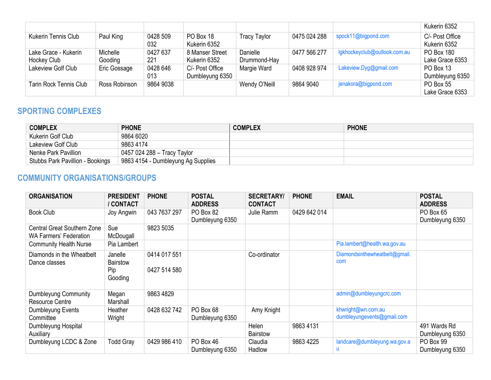|                               |               |                 |                           |                     |              |                              | Kukerin 6352                    |
|-------------------------------|---------------|-----------------|---------------------------|---------------------|--------------|------------------------------|---------------------------------|
| Kukerin Tennis Club           | Paul King     | 0428 509<br>032 | PO Box 18<br>Kukerin 6352 | <b>Tracy Taylor</b> | 0475 024 288 | spock11@bigpond.com          | C/- Post Office<br>Kukerin 6352 |
| Lake Grace - Kukerin          | Michelle      | 0427 637        | 8 Manser Street           | Danielle            | 0477 566 277 | lgkhockeyclub@outlook.com.au | PO Box 180                      |
| Hockey Club                   | Gooding       | 221             | Kukerin 6352              | Drummond-Hay        |              |                              | Lake Grace 6353                 |
| Lakeview Golf Club            | Eric Gossage  | 0428 646        | C/- Post Office           | Margie Ward         | 0408 928 974 | Lakeview.Dyg@gmail.com       | PO Box 13                       |
|                               |               | 013             | Dumbleyung 6350           |                     |              |                              | Dumbleyung 6350                 |
| <b>Tarin Rock Tennis Club</b> | Ross Robinson | 9864 9038       |                           | Wendy O'Neill       | 9864 9040    | jenakora@bigpond.com         | PO Box 55                       |
|                               |               |                 |                           |                     |              |                              | Lake Grace 6353                 |

# **SPORTING COMPLEXES**

| <b>COMPLEX</b>                          | <b>PHONE</b>                       | <b>COMPLEX</b> | <b>PHONE</b> |
|-----------------------------------------|------------------------------------|----------------|--------------|
| Kukerin Golf Club                       | 9864 6020                          |                |              |
| Lakeview Golf Club                      | 9863 4174                          |                |              |
| Nenke Park Pavillion                    | 0457 024 288 - Tracy Taylor        |                |              |
| <b>Stubbs Park Pavillion - Bookings</b> | 9863 4154 - Dumbleyung Ag Supplies |                |              |

#### **COMMUNITY ORGANISATIONS/GROUPS**

| <b>ORGANISATION</b>                                          | <b>PRESIDENT</b><br>/ CONTACT                | <b>PHONE</b>                 | <b>POSTAL</b><br><b>ADDRESS</b> | <b>SECRETARY/</b><br><b>CONTACT</b> | <b>PHONE</b> | <b>EMAIL</b>                                     | <b>POSTAL</b><br><b>ADDRESS</b> |
|--------------------------------------------------------------|----------------------------------------------|------------------------------|---------------------------------|-------------------------------------|--------------|--------------------------------------------------|---------------------------------|
| <b>Book Club</b>                                             | Joy Angwin                                   | 043 7637 297                 | PO Box 82<br>Dumbleyung 6350    | Julie Ramm                          | 0429 642 014 |                                                  | PO Box 65<br>Dumbleyung 6350    |
| <b>Central Great Southern Zone</b><br>WA Farmers' Federation | Sue<br>McDougall                             | 9823 5035                    |                                 |                                     |              |                                                  |                                 |
| <b>Community Health Nurse</b>                                | Pia Lambert                                  |                              |                                 |                                     |              | Pia.lambert@health.wa.gov.au                     |                                 |
| Diamonds in the Wheatbelt<br>Dance classes                   | Janelle<br><b>Bairstow</b><br>Pip<br>Gooding | 0414 017 551<br>0427 514 580 |                                 | Co-ordinator                        |              | Diamondsinthewheatbelt@gmail.<br>com             |                                 |
| <b>Dumbleyung Community</b><br><b>Resource Centre</b>        | Megan<br>Marshall                            | 9863 4829                    |                                 |                                     |              | admin@dumbleyungcrc.com                          |                                 |
| Dumbleyung Events<br>Committee                               | Heather<br>Wright                            | 0428 632 742                 | PO Box 68<br>Dumbleyung 6350    | Amy Knight                          |              | khwright@wn.com.au<br>dumbleyungevents@gmail.com |                                 |
| Dumbleyung Hospital<br>Auxiliary                             |                                              |                              |                                 | Helen<br><b>Bairstow</b>            | 9863 4131    |                                                  | 491 Wards Rd<br>Dumbleyung 6350 |
| Dumbleyung LCDC & Zone                                       | <b>Todd Gray</b>                             | 0429 986 410                 | PO Box 46<br>Dumbleyung 6350    | Claudia<br>Hadlow                   | 9863 4225    | landcare@dumbleyung.wa.gov.a<br>u                | PO Box 99<br>Dumbleyung 6350    |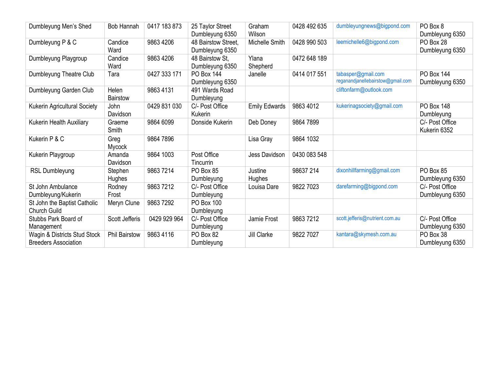| Dumbleyung Men's Shed                                       | Bob Hannah               | 0417 183 873 | 25 Taylor Street<br>Dumbleyung 6350    | Graham<br>Wilson     | 0428 492 635 | dumbleyungnews@bigpond.com                              | PO Box 8<br>Dumbleyung 6350          |
|-------------------------------------------------------------|--------------------------|--------------|----------------------------------------|----------------------|--------------|---------------------------------------------------------|--------------------------------------|
| Dumbleyung P & C                                            | Candice<br>Ward          | 9863 4206    | 48 Bairstow Street,<br>Dumbleyung 6350 | Michelle Smith       | 0428 990 503 | leemichelle6@bigpond.com                                | PO Box 28<br>Dumbleyung 6350         |
| Dumbleyung Playgroup                                        | Candice<br>Ward          | 9863 4206    | 48 Bairstow St,<br>Dumbleyung 6350     | Ylana<br>Shepherd    | 0472 648 189 |                                                         |                                      |
| Dumbleyung Theatre Club                                     | Tara                     | 0427 333 171 | <b>PO Box 144</b><br>Dumbleyung 6350   | Janelle              | 0414 017 551 | tabasper@gmail.com<br>reganandjanellebairstow@gmail.com | <b>PO Box 144</b><br>Dumbleyung 6350 |
| Dumbleyung Garden Club                                      | Helen<br><b>Bairstow</b> | 9863 4131    | 491 Wards Road<br>Dumbleyung           |                      |              | cliftonfarm@outlook.com                                 |                                      |
| Kukerin Agricultural Society                                | John<br>Davidson         | 0429 831 030 | C/- Post Office<br>Kukerin             | <b>Emily Edwards</b> | 9863 4012    | kukerinagsociety@gmail.com                              | PO Box 148<br>Dumbleyung             |
| Kukerin Health Auxiliary                                    | Graeme<br>Smith          | 9864 6099    | Donside Kukerin                        | Deb Doney            | 9864 7899    |                                                         | C/- Post Office<br>Kukerin 6352      |
| Kukerin P & C                                               | Greg<br><b>Mycock</b>    | 9864 7896    |                                        | Lisa Gray            | 9864 1032    |                                                         |                                      |
| Kukerin Playgroup                                           | Amanda<br>Davidson       | 9864 1003    | Post Office<br>Tincurrin               | Jess Davidson        | 0430 083 548 |                                                         |                                      |
| <b>RSL Dumbleyung</b>                                       | Stephen<br>Hughes        | 9863 7214    | PO Box 85<br>Dumbleyung                | Justine<br>Hughes    | 98637 214    | dixonhillfarming@gmail.com                              | PO Box 85<br>Dumbleyung 6350         |
| St John Ambulance<br>Dumbleyung/Kukerin                     | Rodney<br>Frost          | 9863 7212    | C/- Post Office<br>Dumbleyung          | Louisa Dare          | 9822 7023    | darefarming@bigpond.com                                 | C/- Post Office<br>Dumbleyung 6350   |
| St John the Baptist Catholic<br><b>Church Guild</b>         | Meryn Clune              | 9863 7292    | PO Box 100<br>Dumbleyung               |                      |              |                                                         |                                      |
| Stubbs Park Board of<br>Management                          | Scott Jefferis           | 0429 929 964 | C/- Post Office<br>Dumbleyung          | Jamie Frost          | 9863 7212    | scott.jefferis@nutrient.com.au                          | C/- Post Office<br>Dumbleyung 6350   |
| Wagin & Districts Stud Stock<br><b>Breeders Association</b> | <b>Phil Bairstow</b>     | 9863 4116    | PO Box 82<br>Dumbleyung                | Jill Clarke          | 9822 7027    | kantara@skymesh.com.au                                  | PO Box 38<br>Dumbleyung 6350         |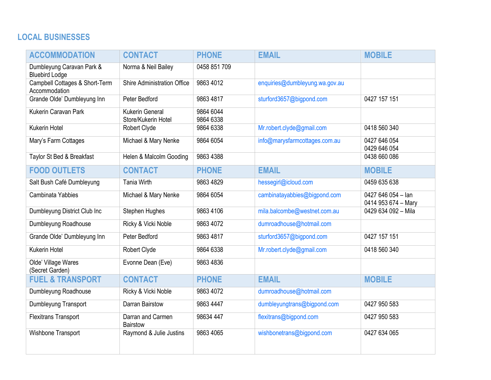#### **LOCAL BUSINESSES**

| <b>ACCOMMODATION</b>                               | <b>CONTACT</b>                                | <b>PHONE</b>           | <b>EMAIL</b>                   | <b>MOBILE</b>                             |
|----------------------------------------------------|-----------------------------------------------|------------------------|--------------------------------|-------------------------------------------|
| Dumbleyung Caravan Park &<br><b>Bluebird Lodge</b> | Norma & Neil Bailey                           | 0458 851 709           |                                |                                           |
| Campbell Cottages & Short-Term<br>Accommodation    | <b>Shire Administration Office</b>            | 9863 4012              | enquiries@dumbleyung.wa.gov.au |                                           |
| Grande Olde' Dumbleyung Inn                        | Peter Bedford                                 | 9863 4817              | sturford3657@bigpond.com       | 0427 157 151                              |
| Kukerin Caravan Park                               | <b>Kukerin General</b><br>Store/Kukerin Hotel | 9864 6044<br>9864 6338 |                                |                                           |
| Kukerin Hotel                                      | Robert Clyde                                  | 9864 6338              | Mr.robert.clyde@gmail.com      | 0418 560 340                              |
| Mary's Farm Cottages                               | Michael & Mary Nenke                          | 9864 6054              | info@marysfarmcottages.com.au  | 0427 646 054<br>0429 646 054              |
| Taylor St Bed & Breakfast                          | Helen & Malcolm Gooding                       | 9863 4388              |                                | 0438 660 086                              |
| <b>FOOD OUTLETS</b>                                | <b>CONTACT</b>                                | <b>PHONE</b>           | <b>EMAIL</b>                   | <b>MOBILE</b>                             |
| Salt Bush Café Dumbleyung                          | <b>Tania Wirth</b>                            | 9863 4829              | hessegirl@icloud.com           | 0459 635 638                              |
| Cambinata Yabbies                                  | Michael & Mary Nenke                          | 9864 6054              | cambinatayabbies@bigpond.com   | 0427 646 054 - lan<br>0414 953 674 - Mary |
| Dumbleyung District Club Inc                       | Stephen Hughes                                | 9863 4106              | mila.balcombe@westnet.com.au   | 0429 634 092 - Mila                       |
| Dumbleyung Roadhouse                               | Ricky & Vicki Noble                           | 9863 4072              | dumroadhouse@hotmail.com       |                                           |
| Grande Olde' Dumbleyung Inn                        | Peter Bedford                                 | 9863 4817              | sturford3657@bigpond.com       | 0427 157 151                              |
| <b>Kukerin Hotel</b>                               | Robert Clyde                                  | 9864 6338              | Mr.robert.clyde@gmail.com      | 0418 560 340                              |
| Olde' Village Wares<br>(Secret Garden)             | Evonne Dean (Eve)                             | 9863 4836              |                                |                                           |
| <b>FUEL &amp; TRANSPORT</b>                        | <b>CONTACT</b>                                | <b>PHONE</b>           | <b>EMAIL</b>                   | <b>MOBILE</b>                             |
| Dumbleyung Roadhouse                               | Ricky & Vicki Noble                           | 9863 4072              | dumroadhouse@hotmail.com       |                                           |
| Dumbleyung Transport                               | Darran Bairstow                               | 9863 4447              | dumbleyungtrans@bigpond.com    | 0427 950 583                              |
| <b>Flexitrans Transport</b>                        | Darran and Carmen<br><b>Bairstow</b>          | 98634 447              | flexitrans@bigpond.com         | 0427 950 583                              |
| Wishbone Transport                                 | Raymond & Julie Justins                       | 9863 4065              | wishbonetrans@bigpond.com      | 0427 634 065                              |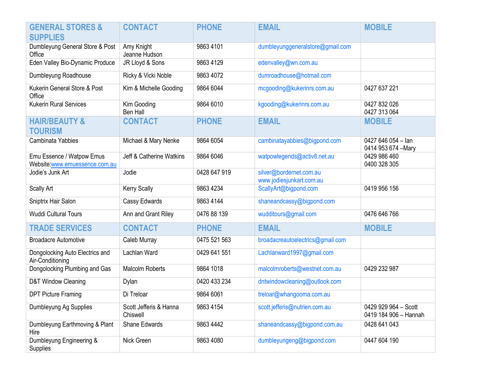| <b>GENERAL STORES &amp;</b><br><b>SUPPLIES</b>             | <b>CONTACT</b>                     | <b>PHONE</b> | <b>EMAIL</b>                                        | <b>MOBILE</b>                                 |
|------------------------------------------------------------|------------------------------------|--------------|-----------------------------------------------------|-----------------------------------------------|
| Dumbleyung General Store & Post<br>Office                  | Amy Knight<br>Jeanne Hudson        | 9863 4101    | dumbleyunggeneralstore@gmail.com                    |                                               |
| Eden Valley Bio-Dynamic Produce                            | JR Lloyd & Sons                    | 9863 4129    | edenvalley@wn.com.au                                |                                               |
| Dumbleyung Roadhouse                                       | Ricky & Vicki Noble                | 9863 4072    | dumroadhouse@hotmail.com                            |                                               |
| Kukerin General Store & Post<br>Office                     | Kim & Michelle Gooding             | 9864 6044    | mcgooding@kukerinrs.com.au                          | 0427 637 221                                  |
| <b>Kukerin Rural Services</b>                              | Kim Gooding<br>Ben Hall            | 9864 6010    | kgooding@kukerinrs.com.au                           | 0427 832 026<br>0427 313 064                  |
| <b>HAIR/BEAUTY &amp;</b><br><b>TOURISM</b>                 | <b>CONTACT</b>                     | <b>PHONE</b> | <b>EMAIL</b>                                        | <b>MOBILE</b>                                 |
| Cambinata Yabbies                                          | Michael & Mary Nenke               | 9864 6054    | cambinatayabbies@bigpond.com                        | 0427 646 054 - lan<br>0414 953 674 - Mary     |
| Emu Essence / Watpow Emus<br>Website:www.emuessence.com.au | Jeff & Catherine Watkins           | 9864 6046    | watpowlegends@activ8.net.au                         | 0429 986 460<br>0400 328 305                  |
| Jodie's Junk Art                                           | Jodie                              | 0428 647 919 | silver@bordernet.com.au<br>www.jodiesjunkart.com.au |                                               |
| Scally Art                                                 | <b>Kerry Scally</b>                | 9863 4234    | ScallyArt@bigpond.com                               | 0419 956 156                                  |
| Sniptrix Hair Salon                                        | Cassy Edwards                      | 9863 4144    | shaneandcassy@bigpond.com                           |                                               |
| <b>Wuddi Cultural Tours</b>                                | Ann and Grant Riley                | 0476 88 139  | wudditours@gmail.com                                | 0476 646 766                                  |
| <b>TRADE SERVICES</b>                                      | <b>CONTACT</b>                     | <b>PHONE</b> | <b>EMAIL</b>                                        | <b>MOBILE</b>                                 |
| <b>Broadacre Automotive</b>                                | Caleb Murray                       | 0475 521 563 | broadacreautoelectrics@gmail.com                    |                                               |
| Dongolocking Auto Electrics and<br>Air-Conditioning        | Lachlan Ward                       | 0429 641 551 | Lachlanward1997@gmail.com                           |                                               |
| Dongolocking Plumbing and Gas                              | <b>Malcolm Roberts</b>             | 9864 1018    | malcolmroberts@westnet.com.au                       | 0429 232 987                                  |
| D&T Window Cleaning                                        | Dylan                              | 0420 433 234 | dntwindowcleaning@outlook.com                       |                                               |
| <b>DPT Picture Framing</b>                                 | Di Treloar                         | 9864 6061    | treloar@whangooma.com.au                            |                                               |
| Dumbleyung Ag Supplies                                     | Scott Jefferis & Hanna<br>Chiswell | 9863 4154    | scott.jefferis@nutrien.com.au                       | 0429 929 964 - Scott<br>0419 184 906 - Hannah |
| Dumbleyung Earthmoving & Plant<br>Hire                     | Shane Edwards                      | 9863 4442    | shaneandcassy@bigpond.com.au                        | 0428 641 043                                  |
| Dumbleyung Engineering &<br>Supplies                       | Nick Green                         | 9863 4080    | dumbleyungeng@bigpond.com                           | 0447 604 190                                  |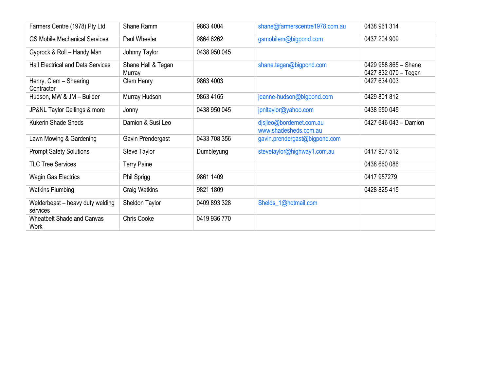| Farmers Centre (1978) Pty Ltd                | Shane Ramm                   | 9863 4004    | shane@farmerscentre1978.com.au                    | 0438 961 314                                 |
|----------------------------------------------|------------------------------|--------------|---------------------------------------------------|----------------------------------------------|
| <b>GS Mobile Mechanical Services</b>         | Paul Wheeler                 | 9864 6262    | gsmobilem@bigpond.com                             | 0437 204 909                                 |
| Gyprock & Roll - Handy Man                   | Johnny Taylor                | 0438 950 045 |                                                   |                                              |
| <b>Hall Electrical and Data Services</b>     | Shane Hall & Tegan<br>Murray |              | shane.tegan@bigpond.com                           | 0429 958 865 - Shane<br>0427 832 070 - Tegan |
| Henry, Clem - Shearing<br>Contractor         | Clem Henry                   | 9863 4003    |                                                   | 0427 634 003                                 |
| Hudson, MW & JM - Builder                    | Murray Hudson                | 9863 4165    | jeanne-hudson@bigpond.com                         | 0429 801 812                                 |
| JP&NL Taylor Ceilings & more                 | Jonny                        | 0438 950 045 | jpnltaylor@yahoo.com                              | 0438 950 045                                 |
| <b>Kukerin Shade Sheds</b>                   | Damion & Susi Leo            |              | djsjleo@bordernet.com.au<br>www.shadesheds.com.au | 0427 646 043 - Damion                        |
| Lawn Mowing & Gardening                      | Gavin Prendergast            | 0433 708 356 | gavin.prendergast@bigpond.com                     |                                              |
| <b>Prompt Safety Solutions</b>               | Steve Taylor                 | Dumbleyung   | stevetaylor@highway1.com.au                       | 0417 907 512                                 |
| <b>TLC Tree Services</b>                     | <b>Terry Paine</b>           |              |                                                   | 0438 660 086                                 |
| Wagin Gas Electrics                          | <b>Phil Sprigg</b>           | 9861 1409    |                                                   | 0417 957279                                  |
| <b>Watkins Plumbing</b>                      | Craig Watkins                | 9821 1809    |                                                   | 0428 825 415                                 |
| Welderbeast - heavy duty welding<br>services | Sheldon Taylor               | 0409 893 328 | Shelds_1@hotmail.com                              |                                              |
| <b>Wheatbelt Shade and Canvas</b><br>Work    | Chris Cooke                  | 0419 936 770 |                                                   |                                              |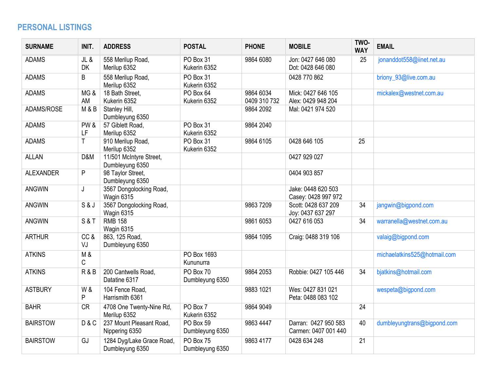| <b>SURNAME</b>   | INIT.             | <b>ADDRESS</b>                               | <b>POSTAL</b>                | <b>PHONE</b>              | <b>MOBILE</b>                                | TWO-<br><b>WAY</b> | <b>EMAIL</b>                 |
|------------------|-------------------|----------------------------------------------|------------------------------|---------------------------|----------------------------------------------|--------------------|------------------------------|
| <b>ADAMS</b>     | JL &<br><b>DK</b> | 558 Merilup Road,<br>Merilup 6352            | PO Box 31<br>Kukerin 6352    | 9864 6080                 | Jon: 0427 646 080<br>Dot: 0428 646 080       | 25                 | jonanddot558@iinet.net.au    |
| <b>ADAMS</b>     | B                 | 558 Merilup Road,<br>Merilup 6352            | PO Box 31<br>Kukerin 6352    |                           | 0428 770 862                                 |                    | briony_93@live.com.au        |
| <b>ADAMS</b>     | MG &<br>AM        | 18 Bath Street.<br>Kukerin 6352              | PO Box 64<br>Kukerin 6352    | 9864 6034<br>0409 310 732 | Mick: 0427 646 105<br>Alex: 0429 948 204     |                    | mickalex@westnet.com.au      |
| ADAMS/ROSE       | M&B               | Stanley Hill,<br>Dumbleyung 6350             |                              | 9864 2092                 | Mal: 0421 974 520                            |                    |                              |
| <b>ADAMS</b>     | PW &<br>LF        | 57 Giblett Road,<br>Merilup 6352             | PO Box 31<br>Kukerin 6352    | 9864 2040                 |                                              |                    |                              |
| <b>ADAMS</b>     | T                 | 910 Merilup Road,<br>Merilup 6352            | PO Box 31<br>Kukerin 6352    | 9864 6105                 | 0428 646 105                                 | 25                 |                              |
| <b>ALLAN</b>     | D&M               | 11/501 McIntyre Street,<br>Dumbleyung 6350   |                              |                           | 0427 929 027                                 |                    |                              |
| <b>ALEXANDER</b> | P                 | 98 Taylor Street,<br>Dumbleyung 6350         |                              |                           | 0404 903 857                                 |                    |                              |
| <b>ANGWIN</b>    | J                 | 3567 Dongolocking Road,<br>Wagin 6315        |                              |                           | Jake: 0448 620 503<br>Casey: 0428 997 972    |                    |                              |
| <b>ANGWIN</b>    | S&J               | 3567 Dongolocking Road,<br>Wagin 6315        |                              | 9863 7209                 | Scott: 0428 637 209<br>Joy: 0437 637 297     | 34                 | jangwin@bigpond.com          |
| <b>ANGWIN</b>    | <b>S&amp;T</b>    | <b>RMB 158</b><br>Wagin 6315                 |                              | 9861 6053                 | 0427 616 053                                 | 34                 | warranella@westnet.com.au    |
| <b>ARTHUR</b>    | CC&<br>VJ         | 863, 125 Road,<br>Dumbleyung 6350            |                              | 9864 1095                 | Craig: 0488 319 106                          |                    | valaig@bigpond.com           |
| <b>ATKINS</b>    | M &<br>C          |                                              | PO Box 1693<br>Kununurra     |                           |                                              |                    | michaelatkins525@hotmail.com |
| <b>ATKINS</b>    | R&B               | 200 Cantwells Road,<br>Datatine 6317         | PO Box 70<br>Dumbleyung 6350 | 9864 2053                 | Robbie: 0427 105 446                         | 34                 | bjatkins@hotmail.com         |
| <b>ASTBURY</b>   | W&<br>P           | 104 Fence Road,<br>Harrismith 6361           |                              | 9883 1021                 | Wes: 0427 831 021<br>Peta: 0488 083 102      |                    | wespeta@bigpond.com          |
| <b>BAHR</b>      | <b>CR</b>         | 4708 One Twenty-Nine Rd,<br>Merilup 6352     | PO Box 7<br>Kukerin 6352     | 9864 9049                 |                                              | 24                 |                              |
| <b>BAIRSTOW</b>  | D&C               | 237 Mount Pleasant Road,<br>Nippering 6350   | PO Box 59<br>Dumbleyung 6350 | 9863 4447                 | Darran: 0427 950 583<br>Carmen: 0407 001 440 | 40                 | dumbleyungtrans@bigpond.com  |
| <b>BAIRSTOW</b>  | GJ                | 1284 Dyg/Lake Grace Road,<br>Dumbleyung 6350 | PO Box 75<br>Dumbleyung 6350 | 9863 4177                 | 0428 634 248                                 | 21                 |                              |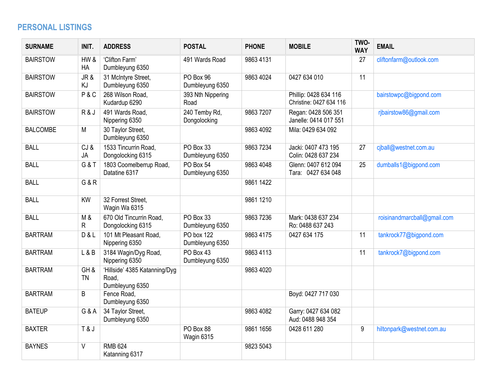| <b>SURNAME</b>  | INIT.               | <b>ADDRESS</b>                                            | <b>POSTAL</b>                 | <b>PHONE</b> | <b>MOBILE</b>                                    | TWO-<br><b>WAY</b> | <b>EMAIL</b>                |
|-----------------|---------------------|-----------------------------------------------------------|-------------------------------|--------------|--------------------------------------------------|--------------------|-----------------------------|
| <b>BAIRSTOW</b> | HW &<br>HA          | 'Clifton Farm'<br>Dumbleyung 6350                         | 491 Wards Road                | 9863 4131    |                                                  | 27                 | cliftonfarm@outlook.com     |
| <b>BAIRSTOW</b> | JR&<br>KJ           | 31 McIntyre Street,<br>Dumbleyung 6350                    | PO Box 96<br>Dumbleyung 6350  | 9863 4024    | 0427 634 010                                     | 11                 |                             |
| <b>BAIRSTOW</b> | P&C                 | 268 Wilson Road,<br>Kudardup 6290                         | 393 Nth Nippering<br>Road     |              | Phillip: 0428 634 116<br>Christine: 0427 634 116 |                    | bairstowpc@bigpond.com      |
| <b>BAIRSTOW</b> | R&J                 | 491 Wards Road,<br>Nippering 6350                         | 240 Temby Rd,<br>Dongolocking | 9863 7207    | Regan: 0428 506 351<br>Janelle: 0414 017 551     |                    | ribairstow86@gmail.com      |
| <b>BALCOMBE</b> | M                   | 30 Taylor Street,<br>Dumbleyung 6350                      |                               | 9863 4092    | Mila: 0429 634 092                               |                    |                             |
| <b>BALL</b>     | CJ &<br><b>JA</b>   | 1533 Tincurrin Road,<br>Dongolocking 6315                 | PO Box 33<br>Dumbleyung 6350  | 9863 7234    | Jacki: 0407 473 195<br>Colin: 0428 637 234       | 27                 | cjball@westnet.com.au       |
| <b>BALL</b>     | G&T                 | 1803 Coomelberrup Road,<br>Datatine 6317                  | PO Box 54<br>Dumbleyung 6350  | 9863 4048    | Glenn: 0407 612 094<br>Tara: 0427 634 048        | 25                 | dumballs1@bigpond.com       |
| <b>BALL</b>     | G & R               |                                                           |                               | 9861 1422    |                                                  |                    |                             |
| <b>BALL</b>     | KW                  | 32 Forrest Street,<br>Wagin Wa 6315                       |                               | 9861 1210    |                                                  |                    |                             |
| <b>BALL</b>     | M &<br>$\mathsf{R}$ | 670 Old Tincurrin Road,<br>Dongolocking 6315              | PO Box 33<br>Dumbleyung 6350  | 9863 7236    | Mark: 0438 637 234<br>Ro: 0488 637 243           |                    | roisinandmarcball@gmail.com |
| <b>BARTRAM</b>  | D & L               | 101 Mt Pleasant Road,<br>Nippering 6350                   | PO box 122<br>Dumbleyung 6350 | 9863 4175    | 0427 634 175                                     | 11                 | tankrock77@bigpond.com      |
| <b>BARTRAM</b>  | L & B               | 3184 Wagin/Dyg Road,<br>Nippering 6350                    | PO Box 43<br>Dumbleyung 6350  | 9863 4113    |                                                  | 11                 | tankrock7@bigpond.com       |
| <b>BARTRAM</b>  | GH&<br><b>TN</b>    | 'Hillside' 4385 Katanning/Dyg<br>Road,<br>Dumbleyung 6350 |                               | 9863 4020    |                                                  |                    |                             |
| <b>BARTRAM</b>  | B                   | Fence Road.<br>Dumbleyung 6350                            |                               |              | Boyd: 0427 717 030                               |                    |                             |
| <b>BATEUP</b>   | G & A               | 34 Taylor Street,<br>Dumbleyung 6350                      |                               | 9863 4082    | Garry: 0427 634 082<br>Aud: 0488 948 354         |                    |                             |
| <b>BAXTER</b>   | T&J                 |                                                           | PO Box 88<br>Wagin 6315       | 9861 1656    | 0428 611 280                                     | 9                  | hiltonpark@westnet.com.au   |
| <b>BAYNES</b>   | V                   | <b>RMB 624</b><br>Katanning 6317                          |                               | 9823 5043    |                                                  |                    |                             |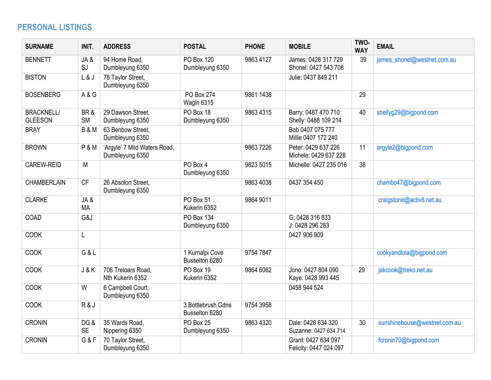| <b>SURNAME</b>                      | INIT.            | <b>ADDRESS</b>                                  | <b>POSTAL</b>                        | <b>PHONE</b> | <b>MOBILE</b>                                 | TWO-<br><b>WAY</b> | <b>EMAIL</b>                 |
|-------------------------------------|------------------|-------------------------------------------------|--------------------------------------|--------------|-----------------------------------------------|--------------------|------------------------------|
| <b>BENNETT</b>                      | JA&<br>SJ        | 94 Home Road,<br>Dumbleyung 6350                | PO Box 120<br>Dumbleyung 6350        | 9863 4127    | James: 0428 317 729<br>Shonel: 0427 543 708   | 39                 | james_shonel@westnet.com.au  |
| <b>BISTON</b>                       | L&J              | 78 Taylor Street,<br>Dumbleyung 6350            |                                      |              | Julie: 0437 849 211                           |                    |                              |
| <b>BOSENBERG</b>                    | A & G            |                                                 | <b>PO Box 274</b><br>Wagin 6315      | 9861 1438    |                                               | 29                 |                              |
| <b>BRACKNELL/</b><br><b>GLEESON</b> | BR&<br><b>SM</b> | 29 Dawson Street.<br>Dumbleyung 6350            | PO Box 18<br>Dumbleyung 6350         | 9863 4315    | Barry: 0487 470 710<br>Shelly: 0488 109 214   | 40                 | shellyg29@bigpond.com        |
| <b>BRAY</b>                         | <b>B&amp;M</b>   | 63 Benbow Street.<br>Dumbleyung 6350            |                                      |              | Bob 0407 075 777<br>Millie 0407 172 240       |                    |                              |
| <b>BROWN</b>                        | P&M              | 'Argyle' 7 Mild Waters Road,<br>Dumbleyung 6350 |                                      | 9863 7226    | Peter: 0429 637 226<br>Michele: 0429 637 228  | 11                 | argyle2@bigpond.com          |
| CAREW-REID                          | M                |                                                 | PO Box 4<br>Dumbleyung 6350          | 9823 5015    | Michelle: 0427 235 016                        | 38                 |                              |
| <b>CHAMBERLAIN</b>                  | CF               | 26 Absolon Street,<br>Dumbleyung 6350           |                                      | 9863 4038    | 0437 354 450                                  |                    | chambo47@bigpond.com         |
| <b>CLARKE</b>                       | JA&<br><b>MA</b> |                                                 | PO Box 51<br>Kukerin 6352            | 9864 9011    |                                               |                    | craigstone@activ8.net.au     |
| COAD                                | G&J              |                                                 | PO Box 134<br>Dumbleyung 6350        |              | G: 0428 316 833<br>J: 0428 296 283            |                    |                              |
| <b>COOK</b>                         | L                |                                                 |                                      |              | 0427 906 909                                  |                    |                              |
| <b>COOK</b>                         | G&L              |                                                 | 1 Kurnalpi Cove<br>Busselton 6280    | 9754 7847    |                                               |                    | cookyandlola@bigpond.com     |
| <b>COOK</b>                         | J&K              | 706 Treloars Road,<br>Nth Kukerin 6352          | PO Box 19<br>Kukerin 6352            | 9864 6062    | Jono: 0427 804 090<br>Kaye: 0428 993 445      | 29                 | jakcook@treko.net.au         |
| <b>COOK</b>                         | W                | 6 Campbell Court,<br>Dumbleyung 6350            |                                      |              | 0458 944 524                                  |                    |                              |
| <b>COOK</b>                         | R&J              |                                                 | 3 Bottlebrush Gdns<br>Busselton 6280 | 9754 3958    |                                               |                    |                              |
| <b>CRONIN</b>                       | DG&<br><b>SE</b> | 35 Wards Road,<br>Nippering 6350                | PO Box 25<br>Dumbleyung 6350         | 9863 4320    | Dale: 0428 634 320<br>Suzanne: 0427 634 714   | 30                 | sunshinehouse@westnet.com.au |
| <b>CRONIN</b>                       | G & F            | 70 Taylor Street,<br>Dumbleyung 6350            |                                      |              | Grant: 0427 634 097<br>Felicity: 0447 024 097 |                    | fcronin70@bigpond.com        |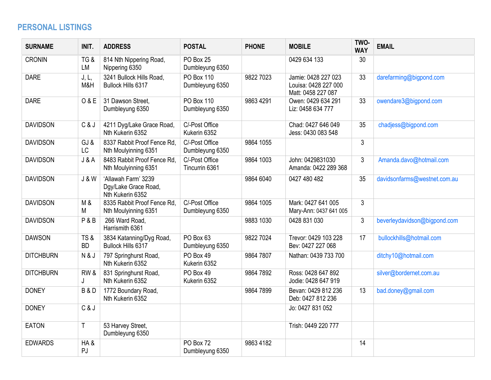| <b>SURNAME</b>   | INIT.            | <b>ADDRESS</b>                                                  | <b>POSTAL</b>                        | <b>PHONE</b> | <b>MOBILE</b>                                                     | TWO-<br><b>WAY</b> | <b>EMAIL</b>                 |
|------------------|------------------|-----------------------------------------------------------------|--------------------------------------|--------------|-------------------------------------------------------------------|--------------------|------------------------------|
| <b>CRONIN</b>    | TG&<br>LM        | 814 Nth Nippering Road,<br>Nippering 6350                       | PO Box 25<br>Dumbleyung 6350         |              | 0429 634 133                                                      | 30                 |                              |
| <b>DARE</b>      | J, L,<br>M&H     | 3241 Bullock Hills Road,<br>Bullock Hills 6317                  | <b>PO Box 110</b><br>Dumbleyung 6350 | 9822 7023    | Jamie: 0428 227 023<br>Louisa: 0428 227 000<br>Matt: 0458 227 087 | 33                 | darefarming@bigpond.com      |
| <b>DARE</b>      | 0 & E            | 31 Dawson Street.<br>Dumbleyung 6350                            | PO Box 110<br>Dumbleyung 6350        | 9863 4291    | Owen: 0429 634 291<br>Liz: 0458 634 777                           | 33                 | owendare3@bigpond.com        |
| <b>DAVIDSON</b>  | C&J              | 4211 Dyg/Lake Grace Road,<br>Nth Kukerin 6352                   | C/-Post Office<br>Kukerin 6352       |              | Chad: 0427 646 049<br>Jess: 0430 083 548                          | 35                 | chadjess@bigpond.com         |
| <b>DAVIDSON</b>  | GJ &<br>LC       | 8337 Rabbit Proof Fence Rd.<br>Nth Moulyinning 6351             | C/-Post Office<br>Dumbleyung 6350    | 9864 1055    |                                                                   | 3                  |                              |
| <b>DAVIDSON</b>  | J & A            | 8483 Rabbit Proof Fence Rd.<br>Nth Moulyinning 6351             | C/-Post Office<br>Tincurrin 6361     | 9864 1003    | John: 0429831030<br>Amanda: 0422 289 368                          | 3                  | Amanda.davo@hotmail.com      |
| <b>DAVIDSON</b>  | <b>J &amp; W</b> | 'Allawah Farm' 3239<br>Dgy/Lake Grace Road,<br>Nth Kukerin 6352 |                                      | 9864 6040    | 0427 480 482                                                      | 35                 | davidsonfarms@westnet.com.au |
| <b>DAVIDSON</b>  | M &<br>M         | 8335 Rabbit Proof Fence Rd.<br>Nth Moulyinning 6351             | C/-Post Office<br>Dumbleyung 6350    | 9864 1005    | Mark: 0427 641 005<br>Mary-Ann: 0437 641 005                      | $\mathbf{3}$       |                              |
| <b>DAVIDSON</b>  | P&B              | 266 Ward Road,<br>Harrismith 6361                               |                                      | 9883 1030    | 0428 831 030                                                      | $\mathfrak{S}$     | beverleydavidson@bigpond.com |
| <b>DAWSON</b>    | TS&<br><b>BD</b> | 3834 Katanning/Dyg Road,<br>Bullock Hills 6317                  | PO Box 63<br>Dumbleyung 6350         | 9822 7024    | Trevor: 0429 103 228<br>Bev: 0427 227 068                         | 17                 | bullockhills@hotmail.com     |
| <b>DITCHBURN</b> | N&J              | 797 Springhurst Road,<br>Nth Kukerin 6352                       | PO Box 49<br>Kukerin 6352            | 9864 7807    | Nathan: 0439 733 700                                              |                    | ditchy10@hotmail.com         |
| <b>DITCHBURN</b> | RW&<br>J         | 831 Springhurst Road,<br>Nth Kukerin 6352                       | PO Box 49<br>Kukerin 6352            | 9864 7892    | Ross: 0428 647 892<br>Jodie: 0428 647 919                         |                    | silver@bordernet.com.au      |
| <b>DONEY</b>     | <b>B&amp;D</b>   | 1772 Boundary Road,<br>Nth Kukerin 6352                         |                                      | 9864 7899    | Bevan: 0429 812 236<br>Deb: 0427 812 236                          | 13                 | bad.doney@gmail.com          |
| <b>DONEY</b>     | C&J              |                                                                 |                                      |              | Jo: 0427 831 052                                                  |                    |                              |
| <b>EATON</b>     | T                | 53 Harvey Street,<br>Dumbleyung 6350                            |                                      |              | Trish: 0449 220 777                                               |                    |                              |
| <b>EDWARDS</b>   | HA&<br>PJ        |                                                                 | PO Box 72<br>Dumbleyung 6350         | 9863 4182    |                                                                   | 14                 |                              |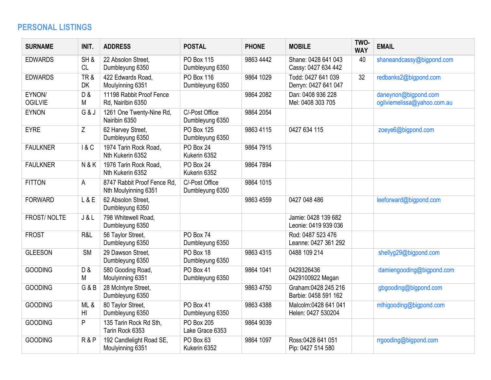| <b>SURNAME</b>           | INIT.            | <b>ADDRESS</b>                                      | <b>POSTAL</b>                        | <b>PHONE</b> | <b>MOBILE</b>                               | TWO-<br><b>WAY</b> | <b>EMAIL</b>                                        |
|--------------------------|------------------|-----------------------------------------------------|--------------------------------------|--------------|---------------------------------------------|--------------------|-----------------------------------------------------|
| <b>EDWARDS</b>           | SH &<br>CL       | 22 Absolon Street.<br>Dumbleyung 6350               | PO Box 115<br>Dumbleyung 6350        | 9863 4442    | Shane: 0428 641 043<br>Cassy: 0427 634 442  | 40                 | shaneandcassy@bigpond.com                           |
| <b>EDWARDS</b>           | TR&<br><b>DK</b> | 422 Edwards Road,<br>Moulyinning 6351               | <b>PO Box 116</b><br>Dumbleyung 6350 | 9864 1029    | Todd: 0427 641 039<br>Derryn: 0427 641 047  | 32                 | redbanks2@bigpond.com                               |
| EYNON/<br><b>OGILVIE</b> | D&<br>M          | 11198 Rabbit Proof Fence<br>Rd, Nairibin 6350       |                                      | 9864 2082    | Dan: 0408 936 228<br>Mel: 0408 303 705      |                    | daneynon@bigpond.com<br>ogilviemelissa@yahoo.com.au |
| <b>EYNON</b>             | G&J              | 1261 One Twenty-Nine Rd,<br>Nairibin 6350           | C/-Post Office<br>Dumbleyung 6350    | 9864 2054    |                                             |                    |                                                     |
| <b>EYRE</b>              | Z.               | 62 Harvey Street,<br>Dumbleyung 6350                | <b>PO Box 125</b><br>Dumbleyung 6350 | 9863 4115    | 0427 634 115                                |                    | zoeye6@bigpond.com                                  |
| <b>FAULKNER</b>          | 18C              | 1974 Tarin Rock Road,<br>Nth Kukerin 6352           | PO Box 24<br>Kukerin 6352            | 9864 7915    |                                             |                    |                                                     |
| <b>FAULKNER</b>          | N&K              | 1976 Tarin Rock Road,<br>Nth Kukerin 6352           | PO Box 24<br>Kukerin 6352            | 9864 7894    |                                             |                    |                                                     |
| <b>FITTON</b>            | $\mathsf{A}$     | 8747 Rabbit Proof Fence Rd.<br>Nth Moulyinning 6351 | C/-Post Office<br>Dumbleyung 6350    | 9864 1015    |                                             |                    |                                                     |
| <b>FORWARD</b>           | $L$ &E           | 62 Absolon Street.<br>Dumbleyung 6350               |                                      | 9863 4559    | 0427 048 486                                |                    | leeforward@bigpond.com                              |
| FROST/NOLTE              | J&L              | 798 Whitewell Road,<br>Dumbleyung 6350              |                                      |              | Jamie: 0428 139 682<br>Leonie: 0419 939 036 |                    |                                                     |
| <b>FROST</b>             | R&L              | 56 Taylor Street,<br>Dumbleyung 6350                | PO Box 74<br>Dumbleyung 6350         |              | Rod: 0487 523 476<br>Leanne: 0427 361 292   |                    |                                                     |
| <b>GLEESON</b>           | <b>SM</b>        | 29 Dawson Street,<br>Dumbleyung 6350                | PO Box 18<br>Dumbleyung 6350         | 9863 4315    | 0488 109 214                                |                    | shellyg29@bigpond.com                               |
| <b>GOODING</b>           | D&<br>M          | 580 Gooding Road,<br>Moulyinning 6351               | PO Box 41<br>Dumbleyung 6350         | 9864 1041    | 0429326436<br>0429100922 Megan              |                    | damiengooding@bigpond.com                           |
| <b>GOODING</b>           | G & B            | 28 McIntyre Street,<br>Dumbleyung 6350              |                                      | 9863 4750    | Graham:0428 245 216<br>Barbie: 0458 591 162 |                    | gbgooding@bigpond.com                               |
| <b>GOODING</b>           | ML&<br>HI        | 80 Taylor Street,<br>Dumbleyung 6350                | PO Box 41<br>Dumbleyung 6350         | 9863 4388    | Malcolm:0428 641 041<br>Helen: 0427 530204  |                    | mlhigooding@bigpond.com                             |
| <b>GOODING</b>           | P                | 135 Tarin Rock Rd Sth.<br>Tarin Rock 6353           | <b>PO Box 205</b><br>Lake Grace 6353 | 9864 9039    |                                             |                    |                                                     |
| <b>GOODING</b>           | R&P              | 192 Candlelight Road SE,<br>Moulyinning 6351        | PO Box 63<br>Kukerin 6352            | 9864 1097    | Ross:0428 641 051<br>Pip: 0427 514 580      |                    | rrgooding@bigpond.com                               |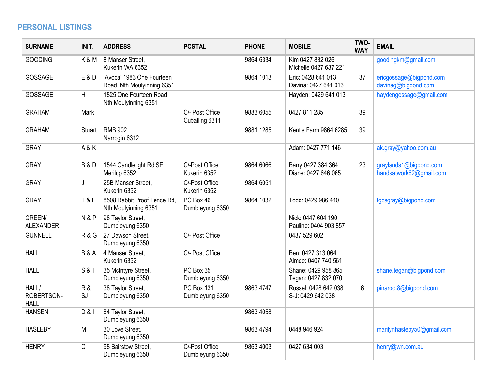| <b>SURNAME</b>                     | INIT.          | <b>ADDRESS</b>                                          | <b>POSTAL</b>                     | <b>PHONE</b> | <b>MOBILE</b>                               | TWO-<br><b>WAY</b> | <b>EMAIL</b>                                      |
|------------------------------------|----------------|---------------------------------------------------------|-----------------------------------|--------------|---------------------------------------------|--------------------|---------------------------------------------------|
| <b>GOODING</b>                     | K&M            | 8 Manser Street,<br>Kukerin WA 6352                     |                                   | 9864 6334    | Kim 0427 832 026<br>Michelle 0427 637 221   |                    | goodingkm@gmail.com                               |
| <b>GOSSAGE</b>                     | E & D          | 'Avoca' 1983 One Fourteen<br>Road, Nth Moulyinning 6351 |                                   | 9864 1013    | Eric: 0428 641 013<br>Davina: 0427 641 013  | 37                 | ericgossage@bigpond.com<br>davinag@bigpond.com    |
| GOSSAGE                            | H              | 1825 One Fourteen Road,<br>Nth Moulyinning 6351         |                                   |              | Hayden: 0429 641 013                        |                    | haydengossage@gmail.com                           |
| <b>GRAHAM</b>                      | Mark           |                                                         | C/- Post Office<br>Cuballing 6311 | 9883 6055    | 0427 811 285                                | 39                 |                                                   |
| <b>GRAHAM</b>                      | Stuart         | <b>RMB 902</b><br>Narrogin 6312                         |                                   | 9881 1285    | Kent's Farm 9864 6285                       | 39                 |                                                   |
| <b>GRAY</b>                        | A&K            |                                                         |                                   |              | Adam: 0427 771 146                          |                    | ak.gray@yahoo.com.au                              |
| <b>GRAY</b>                        | <b>B&amp;D</b> | 1544 Candlelight Rd SE,<br>Merilup 6352                 | C/-Post Office<br>Kukerin 6352    | 9864 6066    | Barry:0427 384 364<br>Diane: 0427 646 065   | 23                 | graylands1@bigpond.com<br>handsatwork62@gmail.com |
| <b>GRAY</b>                        | J              | 25B Manser Street.<br>Kukerin 6352                      | C/-Post Office<br>Kukerin 6352    | 9864 6051    |                                             |                    |                                                   |
| <b>GRAY</b>                        | T&L            | 8508 Rabbit Proof Fence Rd.<br>Nth Moulyinning 6351     | PO Box 46<br>Dumbleyung 6350      | 9864 1032    | Todd: 0429 986 410                          |                    | tgcsgray@bigpond.com                              |
| GREEN/<br><b>ALEXANDER</b>         | N&P            | 98 Taylor Street,<br>Dumbleyung 6350                    |                                   |              | Nick: 0447 604 190<br>Pauline: 0404 903 857 |                    |                                                   |
| <b>GUNNELL</b>                     | R&G            | 27 Dawson Street.<br>Dumbleyung 6350                    | C/- Post Office                   |              | 0437 529 602                                |                    |                                                   |
| <b>HALL</b>                        | <b>B&amp;A</b> | 4 Manser Street.<br>Kukerin 6352                        | C/- Post Office                   |              | Ben: 0427 313 064<br>Aimee: 0407 740 561    |                    |                                                   |
| <b>HALL</b>                        | S&T            | 35 McIntyre Street,<br>Dumbleyung 6350                  | PO Box 35<br>Dumbleyung 6350      |              | Shane: 0429 958 865<br>Tegan: 0427 832 070  |                    | shane.tegan@bigpond.com                           |
| HALL/<br>ROBERTSON-<br><b>HALL</b> | R&<br>SJ       | 38 Taylor Street,<br>Dumbleyung 6350                    | PO Box 131<br>Dumbleyung 6350     | 9863 4747    | Russel: 0428 642 038<br>S-J: 0429 642 038   | 6                  | pinaroo.8@bigpond.com                             |
| <b>HANSEN</b>                      | D &            | 84 Taylor Street,<br>Dumbleyung 6350                    |                                   | 9863 4058    |                                             |                    |                                                   |
| <b>HASLEBY</b>                     | M              | 30 Love Street.<br>Dumbleyung 6350                      |                                   | 9863 4794    | 0448 946 924                                |                    | marilynhasleby50@gmail.com                        |
| <b>HENRY</b>                       | $\mathsf{C}$   | 98 Bairstow Street.<br>Dumbleyung 6350                  | C/-Post Office<br>Dumbleyung 6350 | 9863 4003    | 0427 634 003                                |                    | henry@wn.com.au                                   |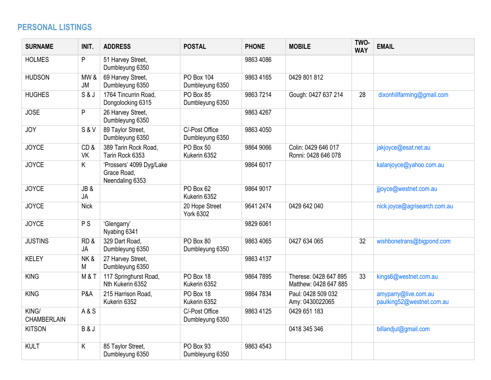| <b>SURNAME</b>              | INIT.                 | <b>ADDRESS</b>                                             | <b>POSTAL</b>                        | <b>PHONE</b> | <b>MOBILE</b>                                  | TWO-<br><b>WAY</b> | <b>EMAIL</b>                                      |
|-----------------------------|-----------------------|------------------------------------------------------------|--------------------------------------|--------------|------------------------------------------------|--------------------|---------------------------------------------------|
| <b>HOLMES</b>               | P                     | 51 Harvey Street,<br>Dumbleyung 6350                       |                                      | 9863 4086    |                                                |                    |                                                   |
| <b>HUDSON</b>               | <b>MW &amp;</b><br>JM | 69 Harvey Street,<br>Dumbleyung 6350                       | <b>PO Box 104</b><br>Dumbleyung 6350 | 9863 4165    | 0429 801 812                                   |                    |                                                   |
| <b>HUGHES</b>               | S&J                   | 1764 Tincurrin Road,<br>Dongolocking 6315                  | PO Box 85<br>Dumbleyung 6350         | 9863 7214    | Gough: 0427 637 214                            | 28                 | dixonhillfarming@gmail.com                        |
| <b>JOSE</b>                 | P                     | 26 Harvey Street,<br>Dumbleyung 6350                       |                                      | 9863 4267    |                                                |                    |                                                   |
| <b>JOY</b>                  | S&V                   | 89 Taylor Street,<br>Dumbleyung 6350                       | C/-Post Office<br>Dumbleyung 6350    | 9863 4050    |                                                |                    |                                                   |
| <b>JOYCE</b>                | CD&<br><b>VK</b>      | 389 Tarin Rock Road,<br>Tarin Rock 6353                    | PO Box 50<br>Kukerin 6352            | 9864 9066    | Colin: 0429 646 017<br>Ronni: 0428 646 078     |                    | jakjoyce@esat.net.au                              |
| <b>JOYCE</b>                | K                     | 'Prossers' 4099 Dyg/Lake<br>Grace Road,<br>Neendaling 6353 |                                      | 9864 6017    |                                                |                    | kalanjoyce@yahoo.com.au                           |
| <b>JOYCE</b>                | JB&<br><b>JA</b>      |                                                            | PO Box 62<br>Kukerin 6352            | 9864 9017    |                                                |                    | jjjoyce@westnet.com.au                            |
| <b>JOYCE</b>                | <b>Nick</b>           |                                                            | 20 Hope Street<br><b>York 6302</b>   | 9641 2474    | 0429 642 040                                   |                    | nick.joyce@agrisearch.com.au                      |
| <b>JOYCE</b>                | <b>PS</b>             | 'Glengarry'<br>Nyabing 6341                                |                                      | 9829 6061    |                                                |                    |                                                   |
| <b>JUSTINS</b>              | RD&<br><b>JA</b>      | 329 Dart Road.<br>Dumbleyung 6350                          | PO Box 80<br>Dumbleyung 6350         | 9863 4065    | 0427 634 065                                   | 32                 | wishbonetrans@bigpond.com                         |
| <b>KELEY</b>                | NK&<br>M              | 27 Harvey Street,<br>Dumbleyung 6350                       |                                      | 9863 4137    |                                                |                    |                                                   |
| <b>KING</b>                 | M&T                   | 117 Springhurst Road,<br>Nth Kukerin 6352                  | PO Box 18<br>Kukerin 6352            | 9864 7895    | Therese: 0428 647 895<br>Matthew: 0428 647 885 | 33                 | kings6@westnet.com.au                             |
| <b>KING</b>                 | P&A                   | 215 Harrison Road,<br>Kukerin 6352                         | PO Box 18<br>Kukerin 6352            | 9864 7834    | Paul: 0428 509 032<br>Amy: 0430022065          |                    | amyparry@live.com.au<br>paulking52@westnet.com.au |
| KING/<br><b>CHAMBERLAIN</b> | A & S                 |                                                            | C/-Post Office<br>Dumbleyung 6350    | 9863 4125    | 0429 651 183                                   |                    |                                                   |
| <b>KITSON</b>               | <b>B&amp;J</b>        |                                                            |                                      |              | 0418 345 346                                   |                    | billandjul@gmail.com                              |
| <b>KULT</b>                 | K                     | 85 Taylor Street,<br>Dumbleyung 6350                       | PO Box 93<br>Dumbleyung 6350         | 9863 4543    |                                                |                    |                                                   |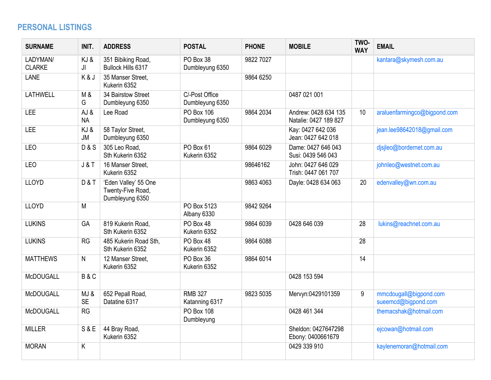| <b>SURNAME</b>            | INIT.             | <b>ADDRESS</b>                                               | <b>POSTAL</b>                        | <b>PHONE</b> | <b>MOBILE</b>                                 | TWO-<br><b>WAY</b> | <b>EMAIL</b>                                  |
|---------------------------|-------------------|--------------------------------------------------------------|--------------------------------------|--------------|-----------------------------------------------|--------------------|-----------------------------------------------|
| LADYMAN/<br><b>CLARKE</b> | KJ &<br>JI        | 351 Bibiking Road,<br>Bullock Hills 6317                     | PO Box 38<br>Dumbleyung 6350         | 9822 7027    |                                               |                    | kantara@skymesh.com.au                        |
| <b>LANE</b>               | K&J               | 35 Manser Street,<br>Kukerin 6352                            |                                      | 9864 6250    |                                               |                    |                                               |
| <b>LATHWELL</b>           | M &<br>G          | 34 Bairstow Street<br>Dumbleyung 6350                        | C/-Post Office<br>Dumbleyung 6350    |              | 0487 021 001                                  |                    |                                               |
| <b>LEE</b>                | AJ &<br><b>NA</b> | Lee Road                                                     | <b>PO Box 106</b><br>Dumbleyung 6350 | 9864 2034    | Andrew: 0428 634 135<br>Natalie: 0427 189 827 | 10                 | araluenfarmingco@bigpond.com                  |
| <b>LEE</b>                | KJ &<br><b>JM</b> | 58 Taylor Street,<br>Dumbleyung 6350                         |                                      |              | Kay: 0427 642 036<br>Jean: 0427 642 018       |                    | jean.lee98642018@gmail.com                    |
| <b>LEO</b>                | <b>D&amp;S</b>    | 305 Leo Road,<br>Sth Kukerin 6352                            | PO Box 61<br>Kukerin 6352            | 9864 6029    | Dame: 0427 646 043<br>Susi: 0439 546 043      |                    | disileo@bordernet.com.au                      |
| <b>LEO</b>                | J & T             | 16 Manser Street,<br>Kukerin 6352                            |                                      | 98646162     | John: 0427 646 029<br>Trish: 0447 061 707     |                    | johnleo@westnet.com.au                        |
| <b>LLOYD</b>              | D&T               | 'Eden Valley' 55 One<br>Twenty-Five Road,<br>Dumbleyung 6350 |                                      | 9863 4063    | Dayle: 0428 634 063                           | 20                 | edenvalley@wn.com.au                          |
| <b>LLOYD</b>              | M                 |                                                              | PO Box 5123<br>Albany 6330           | 9842 9264    |                                               |                    |                                               |
| <b>LUKINS</b>             | GA                | 819 Kukerin Road,<br>Sth Kukerin 6352                        | PO Box 48<br>Kukerin 6352            | 9864 6039    | 0428 646 039                                  | 28                 | lukins@reachnet.com.au                        |
| <b>LUKINS</b>             | RG                | 485 Kukerin Road Sth,<br>Sth Kukerin 6352                    | PO Box 48<br>Kukerin 6352            | 9864 6088    |                                               | 28                 |                                               |
| <b>MATTHEWS</b>           | N                 | 12 Manser Street,<br>Kukerin 6352                            | PO Box 36<br>Kukerin 6352            | 9864 6014    |                                               | 14                 |                                               |
| <b>McDOUGALL</b>          | B&C               |                                                              |                                      |              | 0428 153 594                                  |                    |                                               |
| <b>McDOUGALL</b>          | MJ &<br><b>SE</b> | 652 Pepall Road,<br>Datatine 6317                            | <b>RMB 327</b><br>Katanning 6317     | 9823 5035    | Mervyn:0429101359                             | 9                  | mmcdougall@bigpond.com<br>sueemcd@bigpond.com |
| <b>McDOUGALL</b>          | RG                |                                                              | PO Box 108<br>Dumbleyung             |              | 0428 461 344                                  |                    | themacshak@hotmail.com                        |
| <b>MILLER</b>             | <b>S&amp;E</b>    | 44 Bray Road,<br>Kukerin 6352                                |                                      |              | Sheldon: 0427647298<br>Ebony: 0400661679      |                    | ejcowan@hotmail.com                           |
| <b>MORAN</b>              | K                 |                                                              |                                      |              | 0429 339 910                                  |                    | kaylenemoran@hotmail.com                      |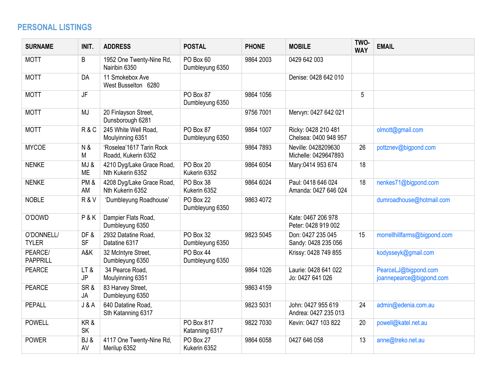| <b>SURNAME</b>             | INIT.             | <b>ADDRESS</b>                                  | <b>POSTAL</b>                | <b>PHONE</b> | <b>MOBILE</b>                                | TWO-<br><b>WAY</b> | <b>EMAIL</b>                                     |
|----------------------------|-------------------|-------------------------------------------------|------------------------------|--------------|----------------------------------------------|--------------------|--------------------------------------------------|
| <b>MOTT</b>                | B                 | 1952 One Twenty-Nine Rd,<br>Nairibin 6350       | PO Box 60<br>Dumbleyung 6350 | 9864 2003    | 0429 642 003                                 |                    |                                                  |
| <b>MOTT</b>                | DA                | 11 Smokebox Ave<br>West Busselton 6280          |                              |              | Denise: 0428 642 010                         |                    |                                                  |
| <b>MOTT</b>                | JF                |                                                 | PO Box 87<br>Dumbleyung 6350 | 9864 1056    |                                              | 5                  |                                                  |
| <b>MOTT</b>                | MJ                | 20 Finlayson Street,<br>Dunsborough 6281        |                              | 9756 7001    | Mervyn: 0427 642 021                         |                    |                                                  |
| <b>MOTT</b>                | R&C               | 245 White Well Road,<br>Moulyinning 6351        | PO Box 87<br>Dumbleyung 6350 | 9864 1007    | Ricky: 0428 210 481<br>Chelsea: 0400 948 957 |                    | olmott@gmail.com                                 |
| <b>MYCOE</b>               | N&<br>M           | 'Roselea'1617 Tarin Rock<br>Roadd, Kukerin 6352 |                              | 9864 7893    | Neville: 0428209630<br>Michelle: 0429647893  | 26                 | pottznev@bigpond.com                             |
| <b>NENKE</b>               | MJ &<br><b>ME</b> | 4210 Dyg/Lake Grace Road,<br>Nth Kukerin 6352   | PO Box 20<br>Kukerin 6352    | 9864 6054    | Mary:0414 953 674                            | 18                 |                                                  |
| <b>NENKE</b>               | PM&<br>AM         | 4208 Dyg/Lake Grace Road,<br>Nth Kukerin 6352   | PO Box 38<br>Kukerin 6352    | 9864 6024    | Paul: 0418 646 024<br>Amanda: 0427 646 024   | 18                 | nenkes71@bigpond.com                             |
| <b>NOBLE</b>               | R&V               | 'Dumbleyung Roadhouse'                          | PO Box 22<br>Dumbleyung 6350 | 9863 4072    |                                              |                    | dumroadhouse@hotmail.com                         |
| O'DOWD                     | P&K               | Dampier Flats Road,<br>Dumbleyung 6350          |                              |              | Kate: 0467 206 978<br>Peter: 0428 919 002    |                    |                                                  |
| O'DONNELL/<br><b>TYLER</b> | DF&<br><b>SF</b>  | 2932 Datatine Road,<br>Datatine 6317            | PO Box 32<br>Dumbleyung 6350 | 9823 5045    | Don: 0427 235 045<br>Sandy: 0428 235 056     | 15                 | morrellhillfarms@bigpond.com                     |
| PEARCE/<br><b>PAPPRILL</b> | A&K               | 32 McIntyre Street,<br>Dumbleyung 6350          | PO Box 44<br>Dumbleyung 6350 |              | Krissy: 0428 749 855                         |                    | kodysseyk@gmail.com                              |
| <b>PEARCE</b>              | LT&<br>JP         | 34 Pearce Road,<br>Moulyinning 6351             |                              | 9864 1026    | Laurie: 0428 641 022<br>Jo: 0427 641 026     |                    | PearceLJ@bigpond.com<br>joannepearce@bigpond.com |
| <b>PEARCE</b>              | SR&<br>JA         | 83 Harvey Street,<br>Dumbleyung 6350            |                              | 9863 4159    |                                              |                    |                                                  |
| <b>PEPALL</b>              | J & A             | 640 Datatine Road,<br>Sth Katanning 6317        |                              | 9823 5031    | John: 0427 955 619<br>Andrea: 0427 235 013   | 24                 | admin@edenia.com.au                              |
| <b>POWELL</b>              | KR&<br><b>SK</b>  |                                                 | PO Box 817<br>Katanning 6317 | 9822 7030    | Kevin: 0427 103 822                          | 20                 | powell@katel.net.au                              |
| <b>POWER</b>               | BJ&<br>AV         | 4117 One Twenty-Nine Rd,<br>Merilup 6352        | PO Box 27<br>Kukerin 6352    | 9864 6058    | 0427 646 058                                 | 13                 | anne@treko.net.au                                |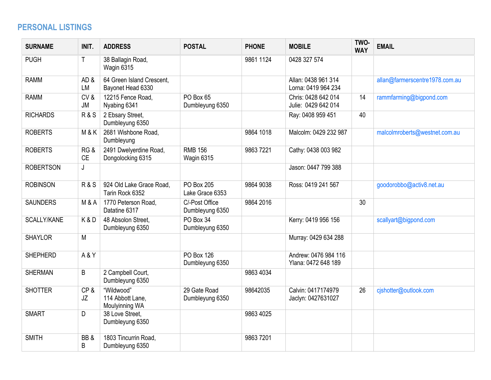| <b>SURNAME</b>   | INIT.            | <b>ADDRESS</b>                                   | <b>POSTAL</b>                        | <b>PHONE</b> | <b>MOBILE</b>                               | TWO-<br><b>WAY</b> | <b>EMAIL</b>                   |
|------------------|------------------|--------------------------------------------------|--------------------------------------|--------------|---------------------------------------------|--------------------|--------------------------------|
| <b>PUGH</b>      | T.               | 38 Ballagin Road,<br>Wagin 6315                  |                                      | 9861 1124    | 0428 327 574                                |                    |                                |
| <b>RAMM</b>      | AD&<br>LM        | 64 Green Island Crescent,<br>Bayonet Head 6330   |                                      |              | Allan: 0438 961 314<br>Lorna: 0419 964 234  |                    | allan@farmerscentre1978.com.au |
| <b>RAMM</b>      | CV&<br><b>JM</b> | 12215 Fence Road,<br>Nyabing 6341                | PO Box 65<br>Dumbleyung 6350         |              | Chris: 0428 642 014<br>Julie: 0429 642 014  | 14                 | rammfarming@bigpond.com        |
| <b>RICHARDS</b>  | R&S              | 2 Ebsary Street,<br>Dumbleyung 6350              |                                      |              | Ray: 0408 959 451                           | 40                 |                                |
| <b>ROBERTS</b>   | M & K            | 2681 Wishbone Road,<br>Dumbleyung                |                                      | 9864 1018    | Malcolm: 0429 232 987                       |                    | malcolmroberts@westnet.com.au  |
| <b>ROBERTS</b>   | RG&<br><b>CE</b> | 2491 Dwelyerdine Road,<br>Dongolocking 6315      | <b>RMB 156</b><br>Wagin 6315         | 9863 7221    | Cathy: 0438 003 982                         |                    |                                |
| <b>ROBERTSON</b> | J                |                                                  |                                      |              | Jason: 0447 799 388                         |                    |                                |
| <b>ROBINSON</b>  | R&S              | 924 Old Lake Grace Road,<br>Tarin Rock 6352      | <b>PO Box 205</b><br>Lake Grace 6353 | 9864 9038    | Ross: 0419 241 567                          |                    | goodorobbo@activ8.net.au       |
| <b>SAUNDERS</b>  | M & A            | 1770 Peterson Road,<br>Datatine 6317             | C/-Post Office<br>Dumbleyung 6350    | 9864 2016    |                                             | 30                 |                                |
| SCALLY/KANE      | K&D              | 48 Absolon Street.<br>Dumbleyung 6350            | PO Box 34<br>Dumbleyung 6350         |              | Kerry: 0419 956 156                         |                    | scallyart@bigpond.com          |
| <b>SHAYLOR</b>   | M                |                                                  |                                      |              | Murray: 0429 634 288                        |                    |                                |
| <b>SHEPHERD</b>  | A&Y              |                                                  | <b>PO Box 126</b><br>Dumbleyung 6350 |              | Andrew: 0476 984 116<br>Ylana: 0472 648 189 |                    |                                |
| <b>SHERMAN</b>   | B                | 2 Campbell Court,<br>Dumbleyung 6350             |                                      | 9863 4034    |                                             |                    |                                |
| <b>SHOTTER</b>   | CP&<br>JZ        | "Wildwood"<br>114 Abbott Lane,<br>Moulyinning WA | 29 Gate Road<br>Dumbleyung 6350      | 98642035     | Calvin: 0417174979<br>Jaclyn: 0427631027    | 26                 | cjshotter@outlook.com          |
| <b>SMART</b>     | D                | 38 Love Street,<br>Dumbleyung 6350               |                                      | 9863 4025    |                                             |                    |                                |
| <b>SMITH</b>     | BB&<br>B         | 1803 Tincurrin Road,<br>Dumbleyung 6350          |                                      | 9863 7201    |                                             |                    |                                |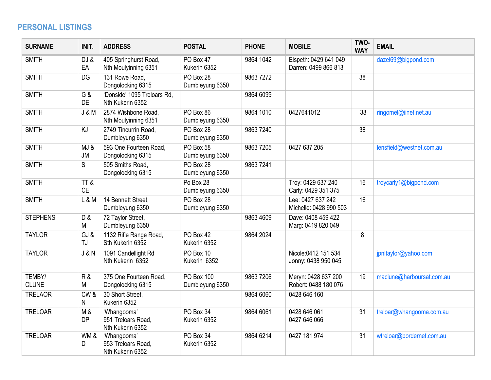| <b>SURNAME</b>         | INIT.             | <b>ADDRESS</b>                                        | <b>POSTAL</b>                 | <b>PHONE</b> | <b>MOBILE</b>                                 | TWO-<br><b>WAY</b> | <b>EMAIL</b>              |
|------------------------|-------------------|-------------------------------------------------------|-------------------------------|--------------|-----------------------------------------------|--------------------|---------------------------|
| <b>SMITH</b>           | DJ&<br>EA         | 405 Springhurst Road,<br>Nth Moulyinning 6351         | PO Box 47<br>Kukerin 6352     | 9864 1042    | Elspeth: 0429 641 049<br>Darren: 0499 866 813 |                    | dazel69@bigpond.com       |
| <b>SMITH</b>           | DG                | 131 Rowe Road,<br>Dongolocking 6315                   | PO Box 28<br>Dumbleyung 6350  | 9863 7272    |                                               | 38                 |                           |
| <b>SMITH</b>           | G &<br><b>DE</b>  | 'Donside' 1095 Treloars Rd,<br>Nth Kukerin 6352       |                               | 9864 6099    |                                               |                    |                           |
| <b>SMITH</b>           | <b>J &amp; M</b>  | 2874 Wishbone Road,<br>Nth Moulyinning 6351           | PO Box 86<br>Dumbleyung 6350  | 9864 1010    | 0427641012                                    | 38                 | ringomel@iinet.net.au     |
| <b>SMITH</b>           | KJ                | 2749 Tincurrin Road,<br>Dumbleyung 6350               | PO Box 28<br>Dumbleyung 6350  | 9863 7240    |                                               | 38                 |                           |
| <b>SMITH</b>           | MJ &<br><b>JM</b> | 593 One Fourteen Road,<br>Dongolocking 6315           | PO Box 58<br>Dumbleyung 6350  | 9863 7205    | 0427 637 205                                  |                    | lensfield@westnet.com.au  |
| <b>SMITH</b>           | S                 | 505 Smiths Road.<br>Dongolocking 6315                 | PO Box 28<br>Dumbleyung 6350  | 9863 7241    |                                               |                    |                           |
| <b>SMITH</b>           | TT&<br><b>CE</b>  |                                                       | Po Box 28<br>Dumbleyung 6350  |              | Troy: 0429 637 240<br>Carly: 0429 351 375     | 16                 | troycarly1@bigpond.com    |
| <b>SMITH</b>           | L & M             | 14 Bennett Street.<br>Dumbleyung 6350                 | PO Box 28<br>Dumbleyung 6350  |              | Lee: 0427 637 242<br>Michelle: 0428 990 503   | 16                 |                           |
| <b>STEPHENS</b>        | D&<br>M           | 72 Taylor Street,<br>Dumbleyung 6350                  |                               | 9863 4609    | Dave: 0408 459 422<br>Marg: 0419 820 049      |                    |                           |
| <b>TAYLOR</b>          | GJ&<br>TJ         | 1132 Rifle Range Road,<br>Sth Kukerin 6352            | PO Box 42<br>Kukerin 6352     | 9864 2024    |                                               | 8                  |                           |
| <b>TAYLOR</b>          | <b>J &amp; N</b>  | 1091 Candellight Rd<br>Nth Kukerin 6352               | PO Box 10<br>Kukerin 6352     |              | Nicole: 0412 151 534<br>Jonny: 0438 950 045   |                    | jpnltaylor@yahoo.com      |
| TEMBY/<br><b>CLUNE</b> | R&<br>M           | 375 One Fourteen Road,<br>Dongolocking 6315           | PO Box 100<br>Dumbleyung 6350 | 9863 7206    | Meryn: 0428 637 200<br>Robert: 0488 180 076   | 19                 | maclune@harboursat.com.au |
| <b>TRELAOR</b>         | CW &<br>Ν         | 30 Short Street,<br>Kukerin 6352                      |                               | 9864 6060    | 0428 646 160                                  |                    |                           |
| <b>TRELOAR</b>         | M&<br><b>DP</b>   | 'Whangooma'<br>951 Treloars Road,<br>Nth Kukerin 6352 | PO Box 34<br>Kukerin 6352     | 9864 6061    | 0428 646 061<br>0427 646 066                  | 31                 | treloar@whangooma.com.au  |
| <b>TRELOAR</b>         | WM &<br>D         | 'Whangooma'<br>953 Treloars Road,<br>Nth Kukerin 6352 | PO Box 34<br>Kukerin 6352     | 9864 6214    | 0427 181 974                                  | 31                 | wtreloar@bordernet.com.au |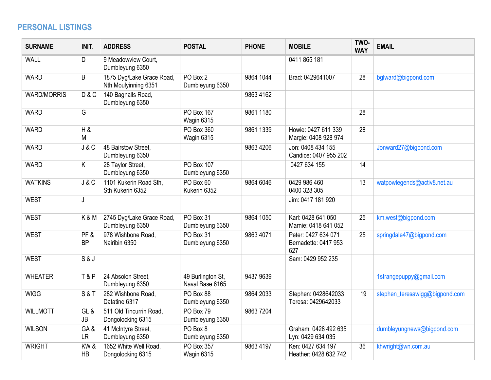| <b>SURNAME</b>     | INIT.            | <b>ADDRESS</b>                                    | <b>POSTAL</b>                        | <b>PHONE</b> | <b>MOBILE</b>                                      | TWO-<br><b>WAY</b> | <b>EMAIL</b>                   |
|--------------------|------------------|---------------------------------------------------|--------------------------------------|--------------|----------------------------------------------------|--------------------|--------------------------------|
| <b>WALL</b>        | D                | 9 Meadowview Court,<br>Dumbleyung 6350            |                                      |              | 0411 865 181                                       |                    |                                |
| <b>WARD</b>        | B                | 1875 Dyg/Lake Grace Road,<br>Nth Moulyinning 6351 | PO Box 2<br>Dumbleyung 6350          | 9864 1044    | Brad: 0429641007                                   | 28                 | bglward@bigpond.com            |
| <b>WARD/MORRIS</b> | D & C            | 140 Bagnalls Road,<br>Dumbleyung 6350             |                                      | 9863 4162    |                                                    |                    |                                |
| <b>WARD</b>        | G                |                                                   | PO Box 167<br>Wagin 6315             | 9861 1180    |                                                    | 28                 |                                |
| <b>WARD</b>        | H &<br>M         |                                                   | <b>PO Box 360</b><br>Wagin 6315      | 9861 1339    | Howie: 0427 611 339<br>Margie: 0408 928 974        | 28                 |                                |
| <b>WARD</b>        | J & C            | 48 Bairstow Street,<br>Dumbleyung 6350            |                                      | 9863 4206    | Jon: 0408 434 155<br>Candice: 0407 955 202         |                    | Jonward27@bigpond.com          |
| <b>WARD</b>        | K                | 28 Taylor Street,<br>Dumbleyung 6350              | PO Box 107<br>Dumbleyung 6350        |              | 0427 634 155                                       | 14                 |                                |
| <b>WATKINS</b>     | J & C            | 1101 Kukerin Road Sth,<br>Sth Kukerin 6352        | PO Box 60<br>Kukerin 6352            | 9864 6046    | 0429 986 460<br>0400 328 305                       | 13                 | watpowlegends@activ8.net.au    |
| <b>WEST</b>        | J                |                                                   |                                      |              | Jim: 0417 181 920                                  |                    |                                |
| <b>WEST</b>        | K&M              | 2745 Dyg/Lake Grace Road,<br>Dumbleyung 6350      | PO Box 31<br>Dumbleyung 6350         | 9864 1050    | Karl: 0428 641 050<br>Marnie: 0418 641 052         | 25                 | km.west@bigpond.com            |
| <b>WEST</b>        | PF&<br><b>BP</b> | 978 Wishbone Road,<br>Nairibin 6350               | PO Box 31<br>Dumbleyung 6350         | 9863 4071    | Peter: 0427 634 071<br>Bernadette: 0417 953<br>627 | 25                 | springdale47@bigpond.com       |
| <b>WEST</b>        | S & J            |                                                   |                                      |              | Sam: 0429 952 235                                  |                    |                                |
| <b>WHEATER</b>     | T&P              | 24 Absolon Street.<br>Dumbleyung 6350             | 49 Burlington St,<br>Naval Base 6165 | 9437 9639    |                                                    |                    | 1strangepuppy@gmail.com        |
| <b>WIGG</b>        | <b>S&amp;T</b>   | 282 Wishbone Road,<br>Datatine 6317               | PO Box 88<br>Dumbleyung 6350         | 9864 2033    | Stephen: 0428642033<br>Teresa: 0429642033          | 19                 | stephen_teresawigg@bigpond.com |
| <b>WILLMOTT</b>    | GL&<br><b>JB</b> | 511 Old Tincurrin Road,<br>Dongolocking 6315      | PO Box 79<br>Dumbleyung 6350         | 9863 7204    |                                                    |                    |                                |
| <b>WILSON</b>      | GA&<br>LR.       | 41 McIntyre Street,<br>Dumbleyung 6350            | PO Box 8<br>Dumbleyung 6350          |              | Graham: 0428 492 635<br>Lyn: 0429 634 035          |                    | dumbleyungnews@bigpond.com     |
| <b>WRIGHT</b>      | KW&<br>HB        | 1652 White Well Road,<br>Dongolocking 6315        | PO Box 357<br>Wagin 6315             | 9863 4197    | Ken: 0427 634 197<br>Heather: 0428 632 742         | 36                 | khwright@wn.com.au             |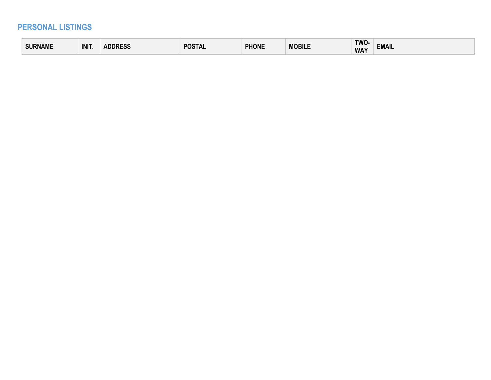| .<br><b>CULT</b><br><b>SURNAME</b> | <b>INIT</b> | <b>ADDRESS</b> | <b>POSTA</b><br>I A<br>1 A L | <b>PHONE</b> | <b>MOBILI</b> | TWO-<br><b>WAY</b> | -88 A II<br><b>EMAIL</b> |
|------------------------------------|-------------|----------------|------------------------------|--------------|---------------|--------------------|--------------------------|
|------------------------------------|-------------|----------------|------------------------------|--------------|---------------|--------------------|--------------------------|